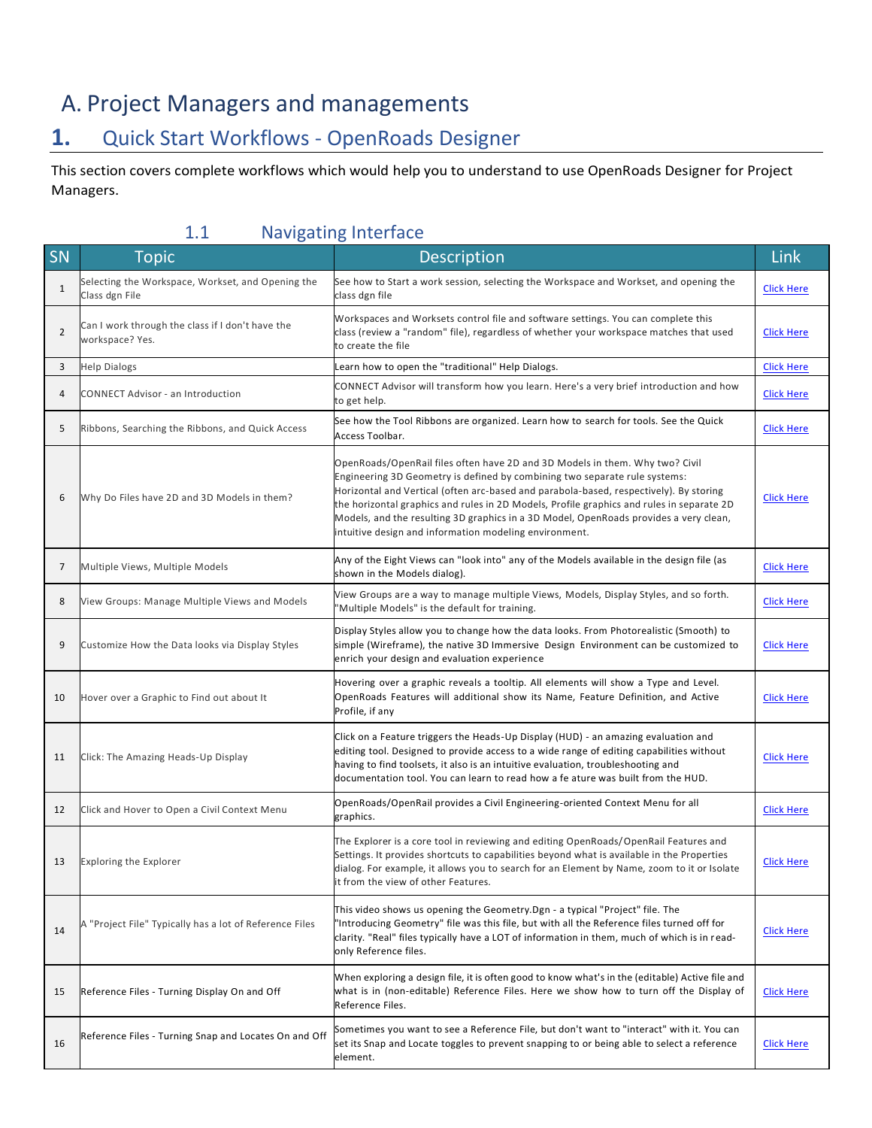# A. Project Managers and managements

### **1.** Quick Start Workflows - OpenRoads Designer

This section covers complete workflows which would help you to understand to use OpenRoads Designer for Project Managers.

| SN             | <b>Topic</b>                                                                          | <b>THE PROPERTY OF STREET</b><br>Description                                                                                                                                                                                                                                                                                                                                                                                                                                                         | Link              |
|----------------|---------------------------------------------------------------------------------------|------------------------------------------------------------------------------------------------------------------------------------------------------------------------------------------------------------------------------------------------------------------------------------------------------------------------------------------------------------------------------------------------------------------------------------------------------------------------------------------------------|-------------------|
| $\mathbf{1}$   | Selecting the Workspace, Workset, and Opening the                                     | See how to Start a work session, selecting the Workspace and Workset, and opening the                                                                                                                                                                                                                                                                                                                                                                                                                | <b>Click Here</b> |
| $\overline{2}$ | Class dgn File<br>Can I work through the class if I don't have the<br>workspace? Yes. | class dgn file<br>Workspaces and Worksets control file and software settings. You can complete this<br>class (review a "random" file), regardless of whether your workspace matches that used<br>to create the file                                                                                                                                                                                                                                                                                  | <b>Click Here</b> |
| 3              | <b>Help Dialogs</b>                                                                   | Learn how to open the "traditional" Help Dialogs.                                                                                                                                                                                                                                                                                                                                                                                                                                                    | <b>Click Here</b> |
| 4              | <b>CONNECT Advisor - an Introduction</b>                                              | CONNECT Advisor will transform how you learn. Here's a very brief introduction and how<br>to get help.                                                                                                                                                                                                                                                                                                                                                                                               | <b>Click Here</b> |
| 5              | Ribbons, Searching the Ribbons, and Quick Access                                      | See how the Tool Ribbons are organized. Learn how to search for tools. See the Quick<br>Access Toolbar.                                                                                                                                                                                                                                                                                                                                                                                              | <b>Click Here</b> |
| 6              | Why Do Files have 2D and 3D Models in them?                                           | OpenRoads/OpenRail files often have 2D and 3D Models in them. Why two? Civil<br>Engineering 3D Geometry is defined by combining two separate rule systems:<br>Horizontal and Vertical (often arc-based and parabola-based, respectively). By storing<br>the horizontal graphics and rules in 2D Models, Profile graphics and rules in separate 2D<br>Models, and the resulting 3D graphics in a 3D Model, OpenRoads provides a very clean,<br>intuitive design and information modeling environment. | <b>Click Here</b> |
| 7              | Multiple Views, Multiple Models                                                       | Any of the Eight Views can "look into" any of the Models available in the design file (as<br>shown in the Models dialog).                                                                                                                                                                                                                                                                                                                                                                            | <b>Click Here</b> |
| 8              | View Groups: Manage Multiple Views and Models                                         | View Groups are a way to manage multiple Views, Models, Display Styles, and so forth.<br>'Multiple Models" is the default for training.                                                                                                                                                                                                                                                                                                                                                              | <b>Click Here</b> |
| 9              | Customize How the Data looks via Display Styles                                       | Display Styles allow you to change how the data looks. From Photorealistic (Smooth) to<br>simple (Wireframe), the native 3D Immersive Design Environment can be customized to<br>enrich your design and evaluation experience                                                                                                                                                                                                                                                                        | <b>Click Here</b> |
| 10             | Hover over a Graphic to Find out about It                                             | Hovering over a graphic reveals a tooltip. All elements will show a Type and Level.<br>OpenRoads Features will additional show its Name, Feature Definition, and Active<br>Profile, if any                                                                                                                                                                                                                                                                                                           | <b>Click Here</b> |
| 11             | Click: The Amazing Heads-Up Display                                                   | Click on a Feature triggers the Heads-Up Display (HUD) - an amazing evaluation and<br>editing tool. Designed to provide access to a wide range of editing capabilities without<br>having to find toolsets, it also is an intuitive evaluation, troubleshooting and<br>documentation tool. You can learn to read how a fe ature was built from the HUD.                                                                                                                                               | <b>Click Here</b> |
| 12             | Click and Hover to Open a Civil Context Menu                                          | OpenRoads/OpenRail provides a Civil Engineering-oriented Context Menu for all<br>graphics.                                                                                                                                                                                                                                                                                                                                                                                                           | <b>Click Here</b> |
| 13             | <b>Exploring the Explorer</b>                                                         | The Explorer is a core tool in reviewing and editing OpenRoads/OpenRail Features and<br>Settings. It provides shortcuts to capabilities beyond what is available in the Properties<br>dialog. For example, it allows you to search for an Element by Name, zoom to it or Isolate<br>it from the view of other Features.                                                                                                                                                                              | <b>Click Here</b> |
| 14             | A "Project File" Typically has a lot of Reference Files                               | This video shows us opening the Geometry.Dgn - a typical "Project" file. The<br>"Introducing Geometry" file was this file, but with all the Reference files turned off for<br>clarity. "Real" files typically have a LOT of information in them, much of which is in read-<br>only Reference files.                                                                                                                                                                                                  | <b>Click Here</b> |
| 15             | Reference Files - Turning Display On and Off                                          | When exploring a design file, it is often good to know what's in the (editable) Active file and<br>what is in (non-editable) Reference Files. Here we show how to turn off the Display of<br>Reference Files.                                                                                                                                                                                                                                                                                        | <b>Click Here</b> |
| 16             | Reference Files - Turning Snap and Locates On and Off                                 | Sometimes you want to see a Reference File, but don't want to "interact" with it. You can<br>set its Snap and Locate toggles to prevent snapping to or being able to select a reference<br>element.                                                                                                                                                                                                                                                                                                  | <b>Click Here</b> |

#### 1.1 Navigating Interface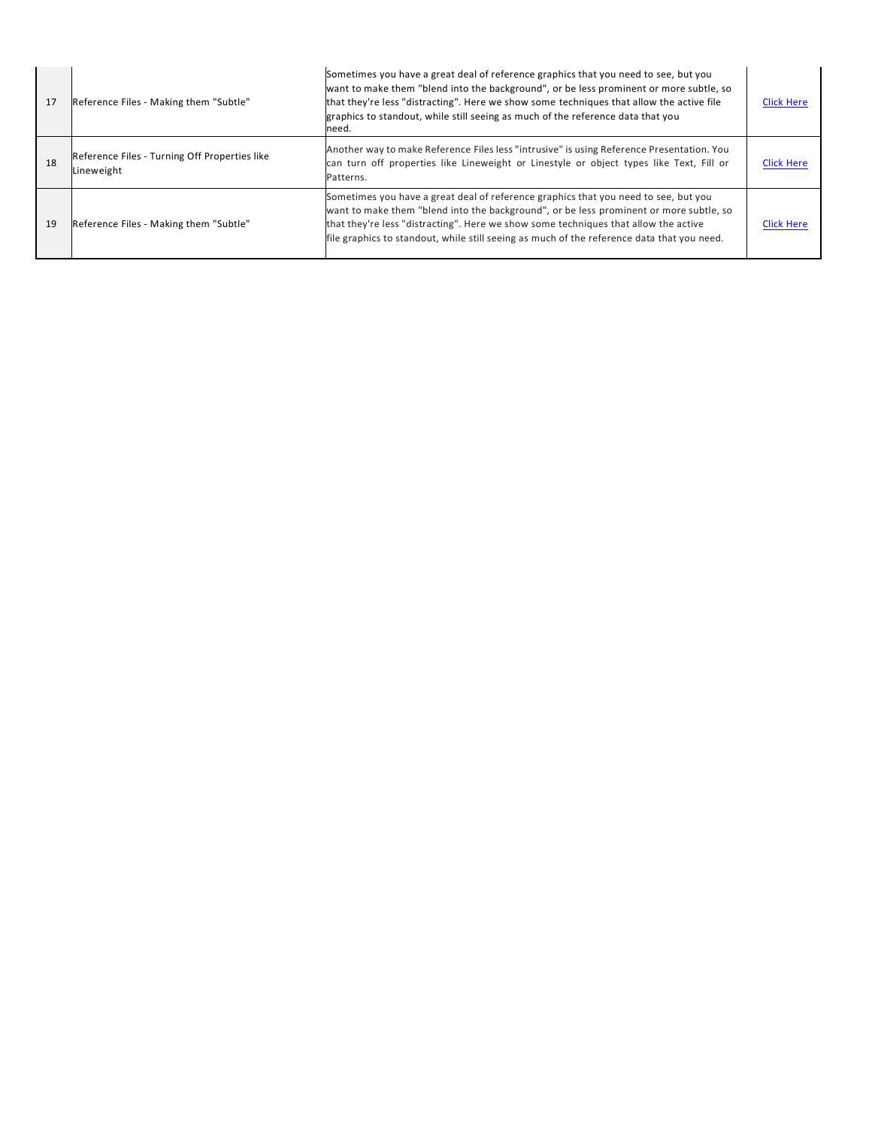| 17 | Reference Files - Making them "Subtle"                      | Sometimes you have a great deal of reference graphics that you need to see, but you<br>want to make them "blend into the background", or be less prominent or more subtle, so<br>that they're less "distracting". Here we show some techniques that allow the active file<br>graphics to standout, while still seeing as much of the reference data that you<br>need. | <b>Click Here</b> |
|----|-------------------------------------------------------------|-----------------------------------------------------------------------------------------------------------------------------------------------------------------------------------------------------------------------------------------------------------------------------------------------------------------------------------------------------------------------|-------------------|
| 18 | Reference Files - Turning Off Properties like<br>Lineweight | Another way to make Reference Files less "intrusive" is using Reference Presentation. You<br>can turn off properties like Lineweight or Linestyle or object types like Text, Fill or<br>Patterns.                                                                                                                                                                     | <b>Click Here</b> |
| 19 | Reference Files - Making them "Subtle"                      | Sometimes you have a great deal of reference graphics that you need to see, but you<br>want to make them "blend into the background", or be less prominent or more subtle, so<br>that they're less "distracting". Here we show some techniques that allow the active<br>file graphics to standout, while still seeing as much of the reference data that you need.    | <b>Click Here</b> |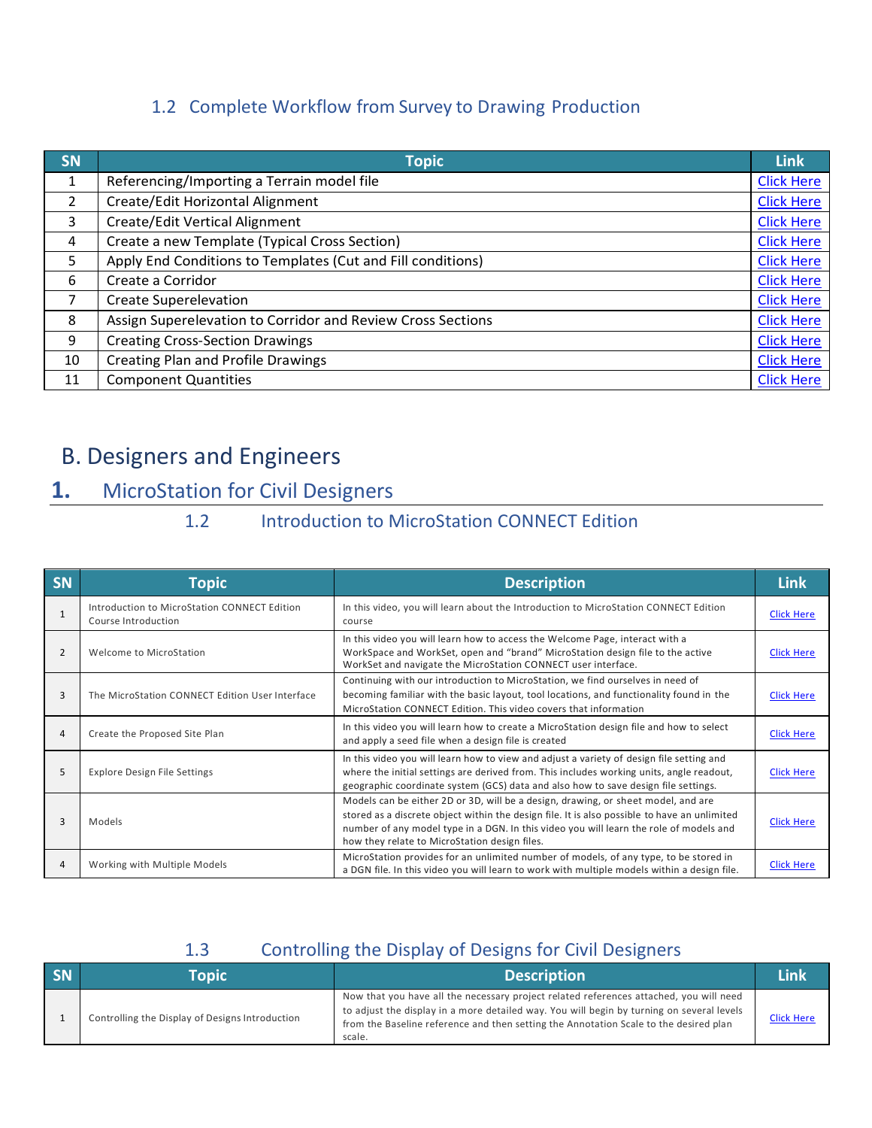### 1.2 Complete Workflow from Survey to Drawing Production

| <b>SN</b>      | <b>Topic</b>                                                | <b>Link</b>       |
|----------------|-------------------------------------------------------------|-------------------|
| 1              | Referencing/Importing a Terrain model file                  | <b>Click Here</b> |
| $\overline{2}$ | Create/Edit Horizontal Alignment                            | <b>Click Here</b> |
| 3              | Create/Edit Vertical Alignment                              | <b>Click Here</b> |
| 4              | Create a new Template (Typical Cross Section)               | <b>Click Here</b> |
| 5              | Apply End Conditions to Templates (Cut and Fill conditions) | <b>Click Here</b> |
| 6              | Create a Corridor                                           | <b>Click Here</b> |
| 7              | Create Superelevation                                       | <b>Click Here</b> |
| 8              | Assign Superelevation to Corridor and Review Cross Sections | <b>Click Here</b> |
| 9              | <b>Creating Cross-Section Drawings</b>                      | <b>Click Here</b> |
| 10             | Creating Plan and Profile Drawings                          | <b>Click Here</b> |
| 11             | <b>Component Quantities</b>                                 | <b>Click Here</b> |

# B. Designers and Engineers

## **1.** MicroStation for Civil Designers

### 1.2 Introduction to MicroStation CONNECT Edition

| SN           | <b>Topic</b>                                                        | <b>Description</b>                                                                                                                                                                                                                                                                                                           | <b>Link</b>       |
|--------------|---------------------------------------------------------------------|------------------------------------------------------------------------------------------------------------------------------------------------------------------------------------------------------------------------------------------------------------------------------------------------------------------------------|-------------------|
| $\mathbf{1}$ | Introduction to MicroStation CONNECT Edition<br>Course Introduction | In this video, you will learn about the Introduction to MicroStation CONNECT Edition<br>course                                                                                                                                                                                                                               | <b>Click Here</b> |
| 2            | Welcome to MicroStation                                             | In this video you will learn how to access the Welcome Page, interact with a<br>WorkSpace and WorkSet, open and "brand" MicroStation design file to the active<br>WorkSet and navigate the MicroStation CONNECT user interface.                                                                                              | <b>Click Here</b> |
| 3            | The MicroStation CONNECT Edition User Interface                     | Continuing with our introduction to MicroStation, we find ourselves in need of<br>becoming familiar with the basic layout, tool locations, and functionality found in the<br>MicroStation CONNECT Edition. This video covers that information                                                                                | Click Here        |
| 4            | Create the Proposed Site Plan                                       | In this video you will learn how to create a MicroStation design file and how to select<br>and apply a seed file when a design file is created                                                                                                                                                                               | <b>Click Here</b> |
| 5            | <b>Explore Design File Settings</b>                                 | In this video you will learn how to view and adjust a variety of design file setting and<br>where the initial settings are derived from. This includes working units, angle readout,<br>geographic coordinate system (GCS) data and also how to save design file settings.                                                   | <b>Click Here</b> |
| 3            | Models                                                              | Models can be either 2D or 3D, will be a design, drawing, or sheet model, and are<br>stored as a discrete object within the design file. It is also possible to have an unlimited<br>number of any model type in a DGN. In this video you will learn the role of models and<br>how they relate to MicroStation design files. | <b>Click Here</b> |
| 4            | Working with Multiple Models                                        | MicroStation provides for an unlimited number of models, of any type, to be stored in<br>a DGN file. In this video you will learn to work with multiple models within a design file.                                                                                                                                         | <b>Click Here</b> |

#### 1.3 Controlling the Display of Designs for Civil Designers

| SN | Topic                                           | <b>Description</b>                                                                                                                                                                                                                                                                     |                   |
|----|-------------------------------------------------|----------------------------------------------------------------------------------------------------------------------------------------------------------------------------------------------------------------------------------------------------------------------------------------|-------------------|
|    | Controlling the Display of Designs Introduction | Now that you have all the necessary project related references attached, you will need<br>to adjust the display in a more detailed way. You will begin by turning on several levels<br>from the Baseline reference and then setting the Annotation Scale to the desired plan<br>scale. | <b>Click Here</b> |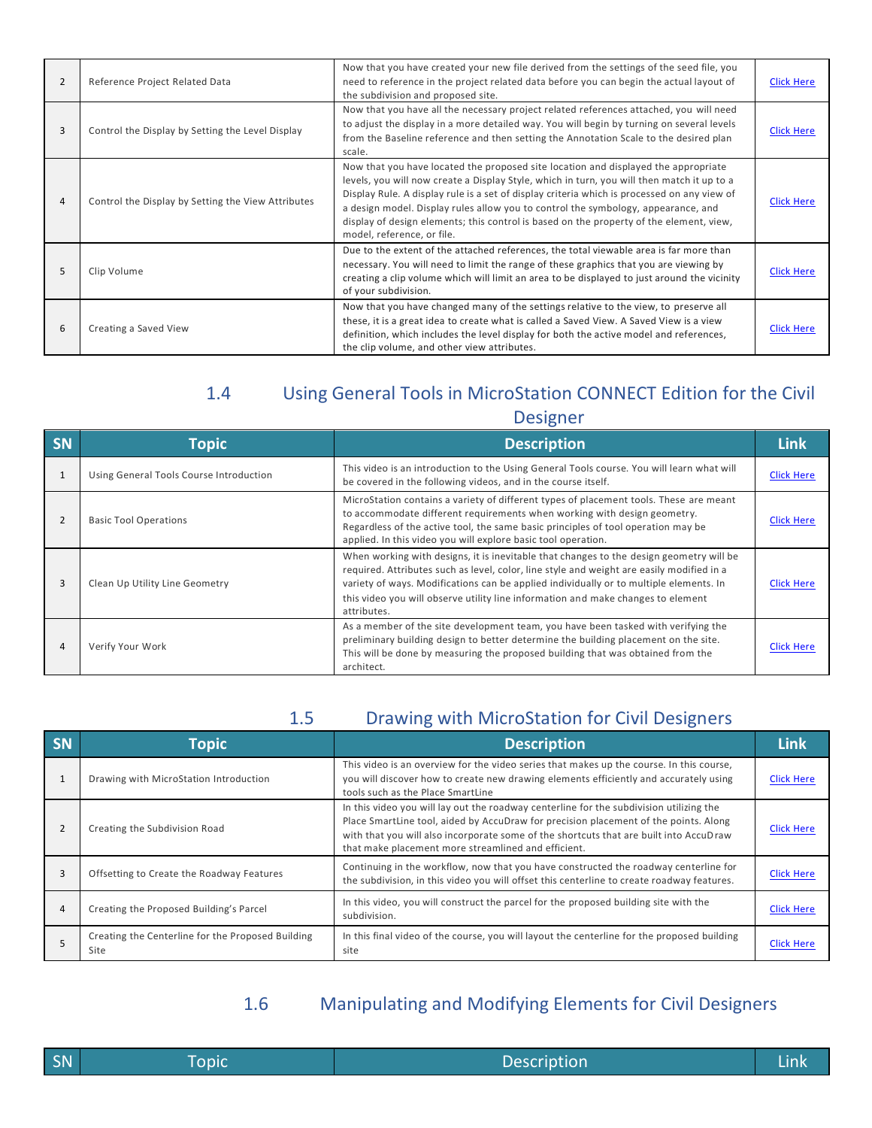| $\overline{2}$ | Reference Project Related Data                     | Now that you have created your new file derived from the settings of the seed file, you<br>need to reference in the project related data before you can begin the actual layout of<br>the subdivision and proposed site.                                                                                                                                                                                                                                                                      | <b>Click Here</b> |
|----------------|----------------------------------------------------|-----------------------------------------------------------------------------------------------------------------------------------------------------------------------------------------------------------------------------------------------------------------------------------------------------------------------------------------------------------------------------------------------------------------------------------------------------------------------------------------------|-------------------|
| 3              | Control the Display by Setting the Level Display   | Now that you have all the necessary project related references attached, you will need<br>to adjust the display in a more detailed way. You will begin by turning on several levels<br>from the Baseline reference and then setting the Annotation Scale to the desired plan<br>scale.                                                                                                                                                                                                        | <b>Click Here</b> |
| 4              | Control the Display by Setting the View Attributes | Now that you have located the proposed site location and displayed the appropriate<br>levels, you will now create a Display Style, which in turn, you will then match it up to a<br>Display Rule. A display rule is a set of display criteria which is processed on any view of<br>a design model. Display rules allow you to control the symbology, appearance, and<br>display of design elements; this control is based on the property of the element, view,<br>model, reference, or file. | <b>Click Here</b> |
| 5              | Clip Volume                                        | Due to the extent of the attached references, the total viewable area is far more than<br>necessary. You will need to limit the range of these graphics that you are viewing by<br>creating a clip volume which will limit an area to be displayed to just around the vicinity<br>of your subdivision.                                                                                                                                                                                        | <b>Click Here</b> |
| 6              | Creating a Saved View                              | Now that you have changed many of the settings relative to the view, to preserve all<br>these, it is a great idea to create what is called a Saved View. A Saved View is a view<br>definition, which includes the level display for both the active model and references,<br>the clip volume, and other view attributes.                                                                                                                                                                      | <b>Click Here</b> |

# 1.4 Using General Tools in MicroStation CONNECT Edition for the Civil

| esigner |  |
|---------|--|
|         |  |

| <b>SN</b> | <b>Topic</b>                            | <b>Description</b>                                                                                                                                                                                                                                                                                                                                                                | <b>Link</b>       |
|-----------|-----------------------------------------|-----------------------------------------------------------------------------------------------------------------------------------------------------------------------------------------------------------------------------------------------------------------------------------------------------------------------------------------------------------------------------------|-------------------|
| 1         | Using General Tools Course Introduction | This video is an introduction to the Using General Tools course. You will learn what will<br>be covered in the following videos, and in the course itself.                                                                                                                                                                                                                        | <b>Click Here</b> |
| 2         | <b>Basic Tool Operations</b>            | MicroStation contains a variety of different types of placement tools. These are meant<br>to accommodate different requirements when working with design geometry.<br>Regardless of the active tool, the same basic principles of tool operation may be<br>applied. In this video you will explore basic tool operation.                                                          | <b>Click Here</b> |
| 3         | Clean Up Utility Line Geometry          | When working with designs, it is inevitable that changes to the design geometry will be<br>required. Attributes such as level, color, line style and weight are easily modified in a<br>variety of ways. Modifications can be applied individually or to multiple elements. In<br>this video you will observe utility line information and make changes to element<br>attributes. | <b>Click Here</b> |
| 4         | Verify Your Work                        | As a member of the site development team, you have been tasked with verifying the<br>preliminary building design to better determine the building placement on the site.<br>This will be done by measuring the proposed building that was obtained from the<br>architect.                                                                                                         | <b>Click Here</b> |

| <b>SN</b> | <b>Topic</b>                                              | <b>Description</b>                                                                                                                                                                                                                                                                                                               | <b>Link</b>       |
|-----------|-----------------------------------------------------------|----------------------------------------------------------------------------------------------------------------------------------------------------------------------------------------------------------------------------------------------------------------------------------------------------------------------------------|-------------------|
|           | Drawing with MicroStation Introduction                    | This video is an overview for the video series that makes up the course. In this course,<br>you will discover how to create new drawing elements efficiently and accurately using<br>tools such as the Place SmartLine                                                                                                           | <b>Click Here</b> |
| 2         | Creating the Subdivision Road                             | In this video you will lay out the roadway centerline for the subdivision utilizing the<br>Place SmartLine tool, aided by AccuDraw for precision placement of the points. Along<br>with that you will also incorporate some of the shortcuts that are built into AccuDraw<br>that make placement more streamlined and efficient. | <b>Click Here</b> |
|           | Offsetting to Create the Roadway Features                 | Continuing in the workflow, now that you have constructed the roadway centerline for<br>the subdivision, in this video you will offset this centerline to create roadway features.                                                                                                                                               | <b>Click Here</b> |
| 4         | Creating the Proposed Building's Parcel                   | In this video, you will construct the parcel for the proposed building site with the<br>subdivision.                                                                                                                                                                                                                             | <b>Click Here</b> |
|           | Creating the Centerline for the Proposed Building<br>Site | In this final video of the course, you will layout the centerline for the proposed building<br>site                                                                                                                                                                                                                              | <b>Click Here</b> |

1.6 Manipulating and Modifying Elements for Civil Designers

| SN | ,,,,,,<br>popu | ___ |
|----|----------------|-----|
|    |                |     |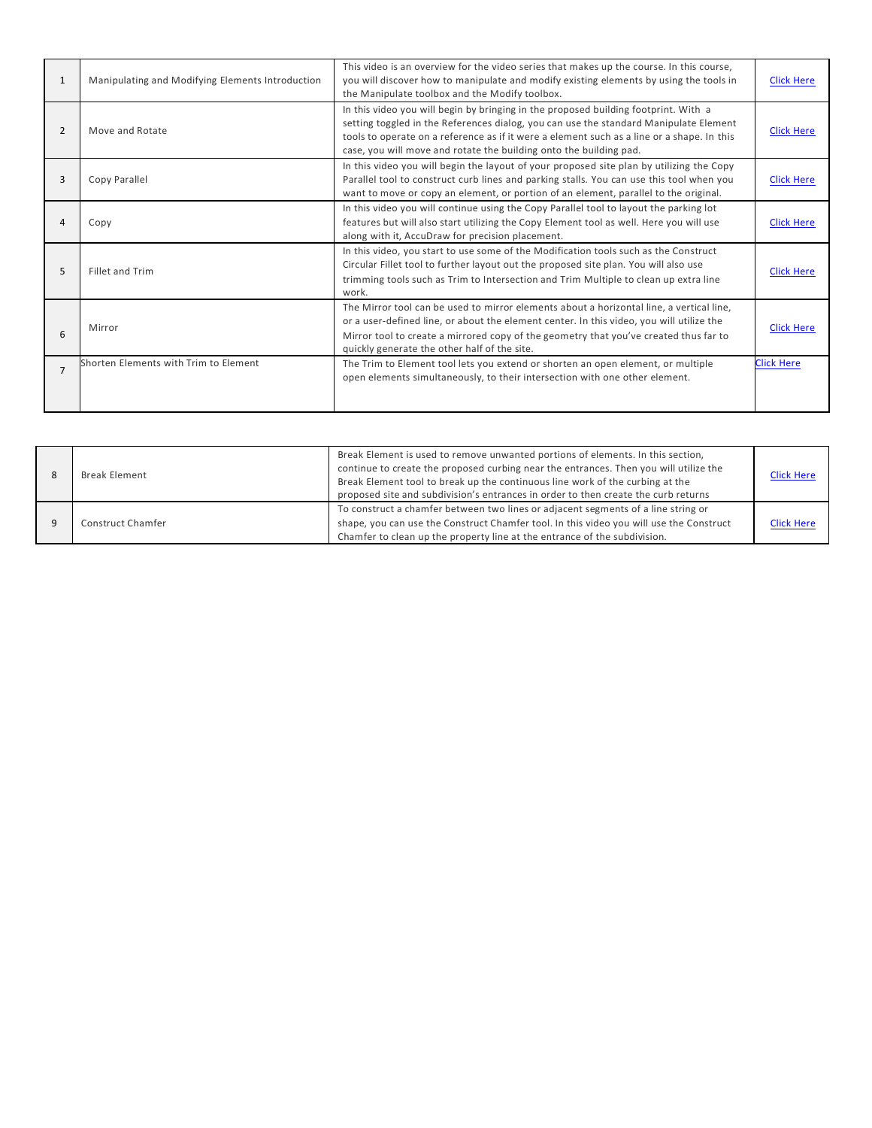| $\mathbf{1}$   | Manipulating and Modifying Elements Introduction | This video is an overview for the video series that makes up the course. In this course,<br>you will discover how to manipulate and modify existing elements by using the tools in<br>the Manipulate toolbox and the Modify toolbox.                                                                                                             | <b>Click Here</b> |
|----------------|--------------------------------------------------|--------------------------------------------------------------------------------------------------------------------------------------------------------------------------------------------------------------------------------------------------------------------------------------------------------------------------------------------------|-------------------|
| $\overline{2}$ | Move and Rotate                                  | In this video you will begin by bringing in the proposed building footprint. With a<br>setting toggled in the References dialog, you can use the standard Manipulate Element<br>tools to operate on a reference as if it were a element such as a line or a shape. In this<br>case, you will move and rotate the building onto the building pad. | <b>Click Here</b> |
| 3              | Copy Parallel                                    | In this video you will begin the layout of your proposed site plan by utilizing the Copy<br>Parallel tool to construct curb lines and parking stalls. You can use this tool when you<br>want to move or copy an element, or portion of an element, parallel to the original.                                                                     | <b>Click Here</b> |
| 4              | Copy                                             | In this video you will continue using the Copy Parallel tool to layout the parking lot<br>features but will also start utilizing the Copy Element tool as well. Here you will use<br>along with it, AccuDraw for precision placement.                                                                                                            | <b>Click Here</b> |
| 5              | Fillet and Trim                                  | In this video, you start to use some of the Modification tools such as the Construct<br>Circular Fillet tool to further layout out the proposed site plan. You will also use<br>trimming tools such as Trim to Intersection and Trim Multiple to clean up extra line<br>work.                                                                    | <b>Click Here</b> |
| 6              | Mirror                                           | The Mirror tool can be used to mirror elements about a horizontal line, a vertical line,<br>or a user-defined line, or about the element center. In this video, you will utilize the<br>Mirror tool to create a mirrored copy of the geometry that you've created thus far to<br>quickly generate the other half of the site.                    | <b>Click Here</b> |
| $\overline{7}$ | Shorten Elements with Trim to Element            | The Trim to Element tool lets you extend or shorten an open element, or multiple<br>open elements simultaneously, to their intersection with one other element.                                                                                                                                                                                  | <b>Click Here</b> |

| <b>Break Element</b> | Break Element is used to remove unwanted portions of elements. In this section,<br>continue to create the proposed curbing near the entrances. Then you will utilize the<br>Break Element tool to break up the continuous line work of the curbing at the<br>proposed site and subdivision's entrances in order to then create the curb returns | <b>Click Here</b> |
|----------------------|-------------------------------------------------------------------------------------------------------------------------------------------------------------------------------------------------------------------------------------------------------------------------------------------------------------------------------------------------|-------------------|
| Construct Chamfer    | To construct a chamfer between two lines or adjacent segments of a line string or<br>shape, you can use the Construct Chamfer tool. In this video you will use the Construct<br>Chamfer to clean up the property line at the entrance of the subdivision.                                                                                       | <b>Click Here</b> |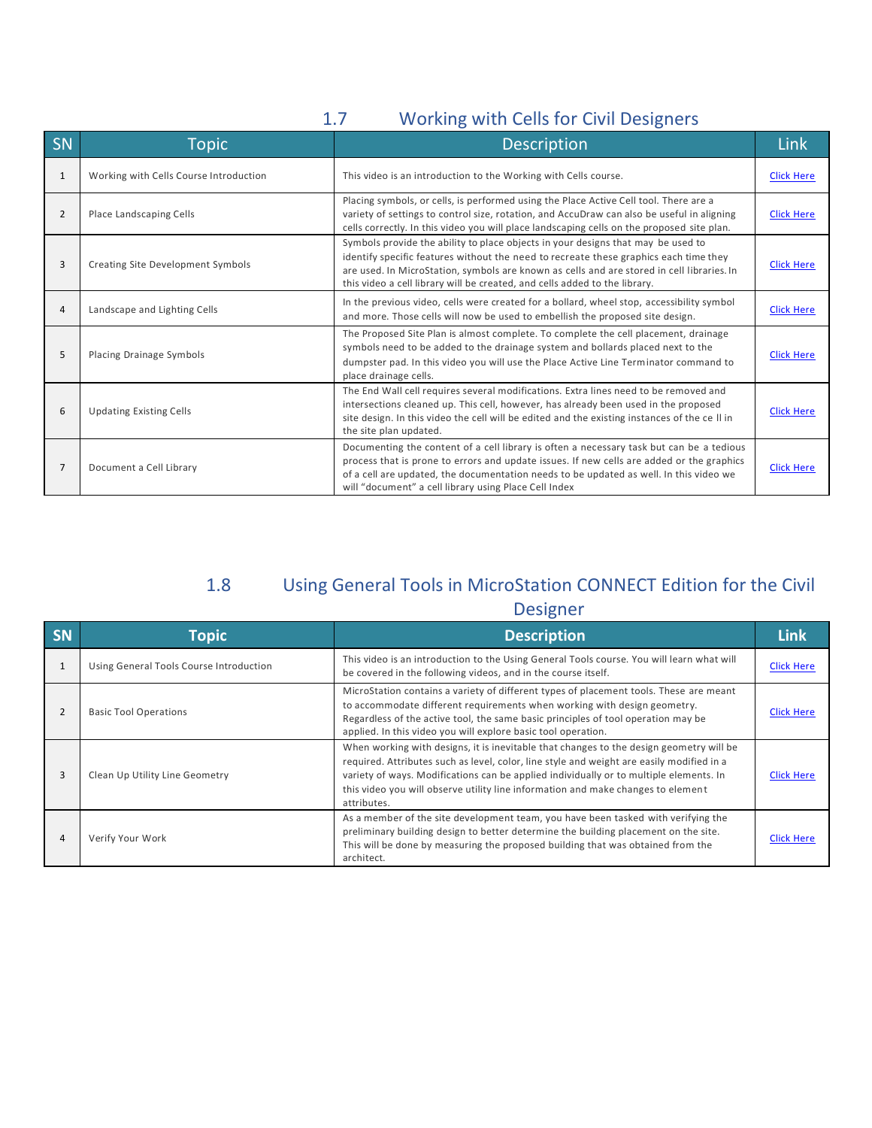### 1.7 Working with Cells for Civil Designers

| SN             | <b>Topic</b>                           | <b>Description</b>                                                                                                                                                                                                                                                                                                                                    | <b>Link</b>       |
|----------------|----------------------------------------|-------------------------------------------------------------------------------------------------------------------------------------------------------------------------------------------------------------------------------------------------------------------------------------------------------------------------------------------------------|-------------------|
| 1              | Working with Cells Course Introduction | This video is an introduction to the Working with Cells course.                                                                                                                                                                                                                                                                                       | <b>Click Here</b> |
| $\overline{2}$ | Place Landscaping Cells                | Placing symbols, or cells, is performed using the Place Active Cell tool. There are a<br>variety of settings to control size, rotation, and AccuDraw can also be useful in aligning<br>cells correctly. In this video you will place landscaping cells on the proposed site plan.                                                                     | <b>Click Here</b> |
| 3              | Creating Site Development Symbols      | Symbols provide the ability to place objects in your designs that may be used to<br>identify specific features without the need to recreate these graphics each time they<br>are used. In MicroStation, symbols are known as cells and are stored in cell libraries. In<br>this video a cell library will be created, and cells added to the library. | <b>Click Here</b> |
| 4              | Landscape and Lighting Cells           | In the previous video, cells were created for a bollard, wheel stop, accessibility symbol<br>and more. Those cells will now be used to embellish the proposed site design.                                                                                                                                                                            | <b>Click Here</b> |
| 5              | Placing Drainage Symbols               | The Proposed Site Plan is almost complete. To complete the cell placement, drainage<br>symbols need to be added to the drainage system and bollards placed next to the<br>dumpster pad. In this video you will use the Place Active Line Terminator command to<br>place drainage cells.                                                               | <b>Click Here</b> |
| 6              | <b>Updating Existing Cells</b>         | The End Wall cell requires several modifications. Extra lines need to be removed and<br>intersections cleaned up. This cell, however, has already been used in the proposed<br>site design. In this video the cell will be edited and the existing instances of the cell in<br>the site plan updated.                                                 | <b>Click Here</b> |
| 7              | Document a Cell Library                | Documenting the content of a cell library is often a necessary task but can be a tedious<br>process that is prone to errors and update issues. If new cells are added or the graphics<br>of a cell are updated, the documentation needs to be updated as well. In this video we<br>will "document" a cell library using Place Cell Index              | <b>Click Here</b> |

## 1.8 Using General Tools in MicroStation CONNECT Edition for the Civil

#### Designer

| <b>SN</b> | <b>Topic</b>                            | <b>Description</b>                                                                                                                                                                                                                                                                                                                                                                | Link              |
|-----------|-----------------------------------------|-----------------------------------------------------------------------------------------------------------------------------------------------------------------------------------------------------------------------------------------------------------------------------------------------------------------------------------------------------------------------------------|-------------------|
|           | Using General Tools Course Introduction | This video is an introduction to the Using General Tools course. You will learn what will<br>be covered in the following videos, and in the course itself.                                                                                                                                                                                                                        | <b>Click Here</b> |
| 2         | <b>Basic Tool Operations</b>            | MicroStation contains a variety of different types of placement tools. These are meant<br>to accommodate different requirements when working with design geometry.<br>Regardless of the active tool, the same basic principles of tool operation may be<br>applied. In this video you will explore basic tool operation.                                                          | <b>Click Here</b> |
|           | Clean Up Utility Line Geometry          | When working with designs, it is inevitable that changes to the design geometry will be<br>required. Attributes such as level, color, line style and weight are easily modified in a<br>variety of ways. Modifications can be applied individually or to multiple elements. In<br>this video you will observe utility line information and make changes to element<br>attributes. | <b>Click Here</b> |
| 4         | Verify Your Work                        | As a member of the site development team, you have been tasked with verifying the<br>preliminary building design to better determine the building placement on the site.<br>This will be done by measuring the proposed building that was obtained from the<br>architect.                                                                                                         | <b>Click Here</b> |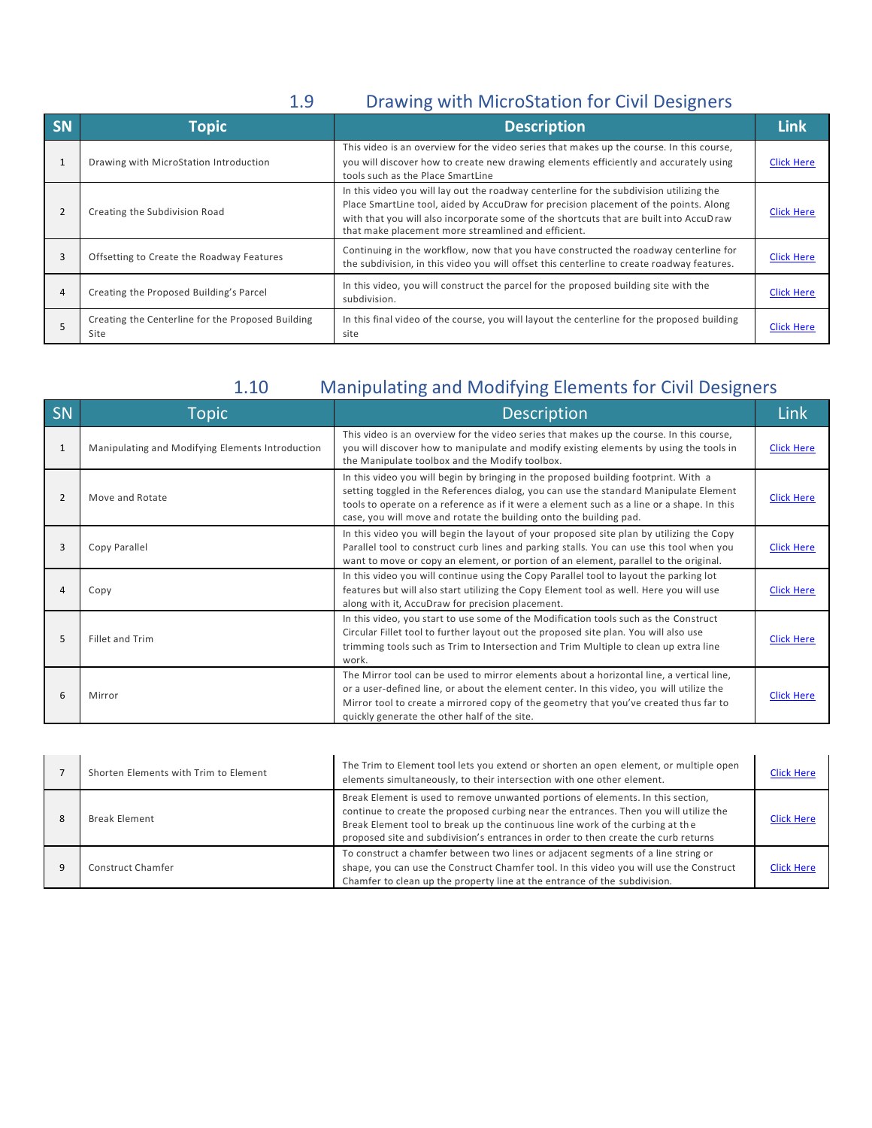## 1.9 Drawing with MicroStation for Civil Designers

| <b>SN</b> | <b>Topic</b>                                              | <b>Description</b>                                                                                                                                                                                                                                                                                                               | Link              |
|-----------|-----------------------------------------------------------|----------------------------------------------------------------------------------------------------------------------------------------------------------------------------------------------------------------------------------------------------------------------------------------------------------------------------------|-------------------|
|           | Drawing with MicroStation Introduction                    | This video is an overview for the video series that makes up the course. In this course,<br>you will discover how to create new drawing elements efficiently and accurately using<br>tools such as the Place SmartLine                                                                                                           | <b>Click Here</b> |
|           | Creating the Subdivision Road                             | In this video you will lay out the roadway centerline for the subdivision utilizing the<br>Place SmartLine tool, aided by AccuDraw for precision placement of the points. Along<br>with that you will also incorporate some of the shortcuts that are built into AccuDraw<br>that make placement more streamlined and efficient. | <b>Click Here</b> |
| 3         | Offsetting to Create the Roadway Features                 | Continuing in the workflow, now that you have constructed the roadway centerline for<br>the subdivision, in this video you will offset this centerline to create roadway features.                                                                                                                                               | <b>Click Here</b> |
|           | Creating the Proposed Building's Parcel                   | In this video, you will construct the parcel for the proposed building site with the<br>subdivision.                                                                                                                                                                                                                             | <b>Click Here</b> |
|           | Creating the Centerline for the Proposed Building<br>Site | In this final video of the course, you will layout the centerline for the proposed building<br>site                                                                                                                                                                                                                              | <b>Click Here</b> |

# 1.10 Manipulating and Modifying Elements for Civil Designers

| SN | <b>Topic</b>                                     | <b>Description</b>                                                                                                                                                                                                                                                                                                                               | Link              |
|----|--------------------------------------------------|--------------------------------------------------------------------------------------------------------------------------------------------------------------------------------------------------------------------------------------------------------------------------------------------------------------------------------------------------|-------------------|
|    | Manipulating and Modifying Elements Introduction | This video is an overview for the video series that makes up the course. In this course,<br>you will discover how to manipulate and modify existing elements by using the tools in<br>the Manipulate toolbox and the Modify toolbox.                                                                                                             | <b>Click Here</b> |
| 2  | Move and Rotate                                  | In this video you will begin by bringing in the proposed building footprint. With a<br>setting toggled in the References dialog, you can use the standard Manipulate Element<br>tools to operate on a reference as if it were a element such as a line or a shape. In this<br>case, you will move and rotate the building onto the building pad. | <b>Click Here</b> |
| 3  | Copy Parallel                                    | In this video you will begin the layout of your proposed site plan by utilizing the Copy<br>Parallel tool to construct curb lines and parking stalls. You can use this tool when you<br>want to move or copy an element, or portion of an element, parallel to the original.                                                                     | <b>Click Here</b> |
|    | Copy                                             | In this video you will continue using the Copy Parallel tool to layout the parking lot<br>features but will also start utilizing the Copy Element tool as well. Here you will use<br>along with it, AccuDraw for precision placement.                                                                                                            | <b>Click Here</b> |
| 5  | Fillet and Trim                                  | In this video, you start to use some of the Modification tools such as the Construct<br>Circular Fillet tool to further layout out the proposed site plan. You will also use<br>trimming tools such as Trim to Intersection and Trim Multiple to clean up extra line<br>work.                                                                    | <b>Click Here</b> |
| 6  | Mirror                                           | The Mirror tool can be used to mirror elements about a horizontal line, a vertical line,<br>or a user-defined line, or about the element center. In this video, you will utilize the<br>Mirror tool to create a mirrored copy of the geometry that you've created thus far to<br>quickly generate the other half of the site.                    | <b>Click Here</b> |

|   | Shorten Elements with Trim to Element | The Trim to Element tool lets you extend or shorten an open element, or multiple open<br>elements simultaneously, to their intersection with one other element.                                                                                                                                                                                 | <b>Click Here</b> |
|---|---------------------------------------|-------------------------------------------------------------------------------------------------------------------------------------------------------------------------------------------------------------------------------------------------------------------------------------------------------------------------------------------------|-------------------|
| 8 | <b>Break Element</b>                  | Break Element is used to remove unwanted portions of elements. In this section,<br>continue to create the proposed curbing near the entrances. Then you will utilize the<br>Break Element tool to break up the continuous line work of the curbing at the<br>proposed site and subdivision's entrances in order to then create the curb returns | <b>Click Here</b> |
|   | Construct Chamfer                     | To construct a chamfer between two lines or adjacent segments of a line string or<br>shape, you can use the Construct Chamfer tool. In this video you will use the Construct<br>Chamfer to clean up the property line at the entrance of the subdivision.                                                                                       | <b>Click Here</b> |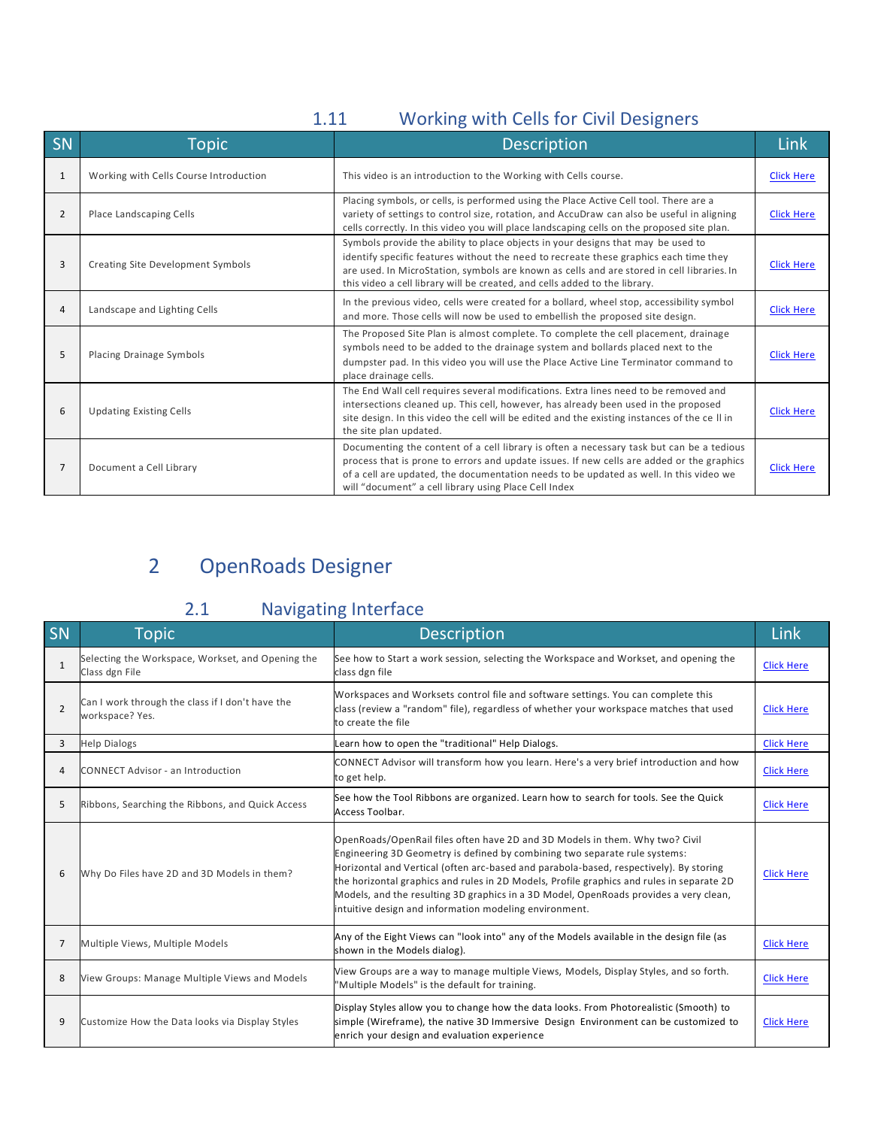# 1.11 Working with Cells for Civil Designers

| SN | <b>Topic</b>                           | Description                                                                                                                                                                                                                                                                                                                                           | <b>Link</b>       |
|----|----------------------------------------|-------------------------------------------------------------------------------------------------------------------------------------------------------------------------------------------------------------------------------------------------------------------------------------------------------------------------------------------------------|-------------------|
| 1  | Working with Cells Course Introduction | This video is an introduction to the Working with Cells course.                                                                                                                                                                                                                                                                                       | <b>Click Here</b> |
| 2  | Place Landscaping Cells                | Placing symbols, or cells, is performed using the Place Active Cell tool. There are a<br>variety of settings to control size, rotation, and AccuDraw can also be useful in aligning<br>cells correctly. In this video you will place landscaping cells on the proposed site plan.                                                                     | <b>Click Here</b> |
| 3  | Creating Site Development Symbols      | Symbols provide the ability to place objects in your designs that may be used to<br>identify specific features without the need to recreate these graphics each time they<br>are used. In MicroStation, symbols are known as cells and are stored in cell libraries. In<br>this video a cell library will be created, and cells added to the library. | <b>Click Here</b> |
| 4  | Landscape and Lighting Cells           | In the previous video, cells were created for a bollard, wheel stop, accessibility symbol<br>and more. Those cells will now be used to embellish the proposed site design.                                                                                                                                                                            | <b>Click Here</b> |
| 5  | Placing Drainage Symbols               | The Proposed Site Plan is almost complete. To complete the cell placement, drainage<br>symbols need to be added to the drainage system and bollards placed next to the<br>dumpster pad. In this video you will use the Place Active Line Terminator command to<br>place drainage cells.                                                               | <b>Click Here</b> |
| 6  | <b>Updating Existing Cells</b>         | The End Wall cell requires several modifications. Extra lines need to be removed and<br>intersections cleaned up. This cell, however, has already been used in the proposed<br>site design. In this video the cell will be edited and the existing instances of the cell in<br>the site plan updated.                                                 | <b>Click Here</b> |
| 7  | Document a Cell Library                | Documenting the content of a cell library is often a necessary task but can be a tedious<br>process that is prone to errors and update issues. If new cells are added or the graphics<br>of a cell are updated, the documentation needs to be updated as well. In this video we<br>will "document" a cell library using Place Cell Index              | <b>Click Here</b> |

# 2 OpenRoads Designer

# 2.1 Navigating Interface

| SN             | <b>Topic</b>                                                        | <b>Description</b>                                                                                                                                                                                                                                                                                                                                                                                                                                                                                   | Link              |
|----------------|---------------------------------------------------------------------|------------------------------------------------------------------------------------------------------------------------------------------------------------------------------------------------------------------------------------------------------------------------------------------------------------------------------------------------------------------------------------------------------------------------------------------------------------------------------------------------------|-------------------|
| $\mathbf{1}$   | Selecting the Workspace, Workset, and Opening the<br>Class dgn File | See how to Start a work session, selecting the Workspace and Workset, and opening the<br>class dgn file                                                                                                                                                                                                                                                                                                                                                                                              | <b>Click Here</b> |
| $\overline{2}$ | Can I work through the class if I don't have the<br>workspace? Yes. | Workspaces and Worksets control file and software settings. You can complete this<br>class (review a "random" file), regardless of whether your workspace matches that used<br>to create the file                                                                                                                                                                                                                                                                                                    | <b>Click Here</b> |
| 3              | <b>Help Dialogs</b>                                                 | Learn how to open the "traditional" Help Dialogs.                                                                                                                                                                                                                                                                                                                                                                                                                                                    | <b>Click Here</b> |
| $\overline{4}$ | CONNECT Advisor - an Introduction                                   | CONNECT Advisor will transform how you learn. Here's a very brief introduction and how<br>to get help.                                                                                                                                                                                                                                                                                                                                                                                               | <b>Click Here</b> |
| 5              | Ribbons, Searching the Ribbons, and Quick Access                    | See how the Tool Ribbons are organized. Learn how to search for tools. See the Quick<br>Access Toolbar.                                                                                                                                                                                                                                                                                                                                                                                              | <b>Click Here</b> |
| 6              | Why Do Files have 2D and 3D Models in them?                         | OpenRoads/OpenRail files often have 2D and 3D Models in them. Why two? Civil<br>Engineering 3D Geometry is defined by combining two separate rule systems:<br>Horizontal and Vertical (often arc-based and parabola-based, respectively). By storing<br>the horizontal graphics and rules in 2D Models, Profile graphics and rules in separate 2D<br>Models, and the resulting 3D graphics in a 3D Model, OpenRoads provides a very clean,<br>intuitive design and information modeling environment. | <b>Click Here</b> |
| 7              | Multiple Views, Multiple Models                                     | Any of the Eight Views can "look into" any of the Models available in the design file (as<br>shown in the Models dialog).                                                                                                                                                                                                                                                                                                                                                                            | <b>Click Here</b> |
| 8              | View Groups: Manage Multiple Views and Models                       | View Groups are a way to manage multiple Views, Models, Display Styles, and so forth.<br>"Multiple Models" is the default for training.                                                                                                                                                                                                                                                                                                                                                              | <b>Click Here</b> |
| 9              | Customize How the Data looks via Display Styles                     | Display Styles allow you to change how the data looks. From Photorealistic (Smooth) to<br>simple (Wireframe), the native 3D Immersive Design Environment can be customized to<br>enrich your design and evaluation experience                                                                                                                                                                                                                                                                        | <b>Click Here</b> |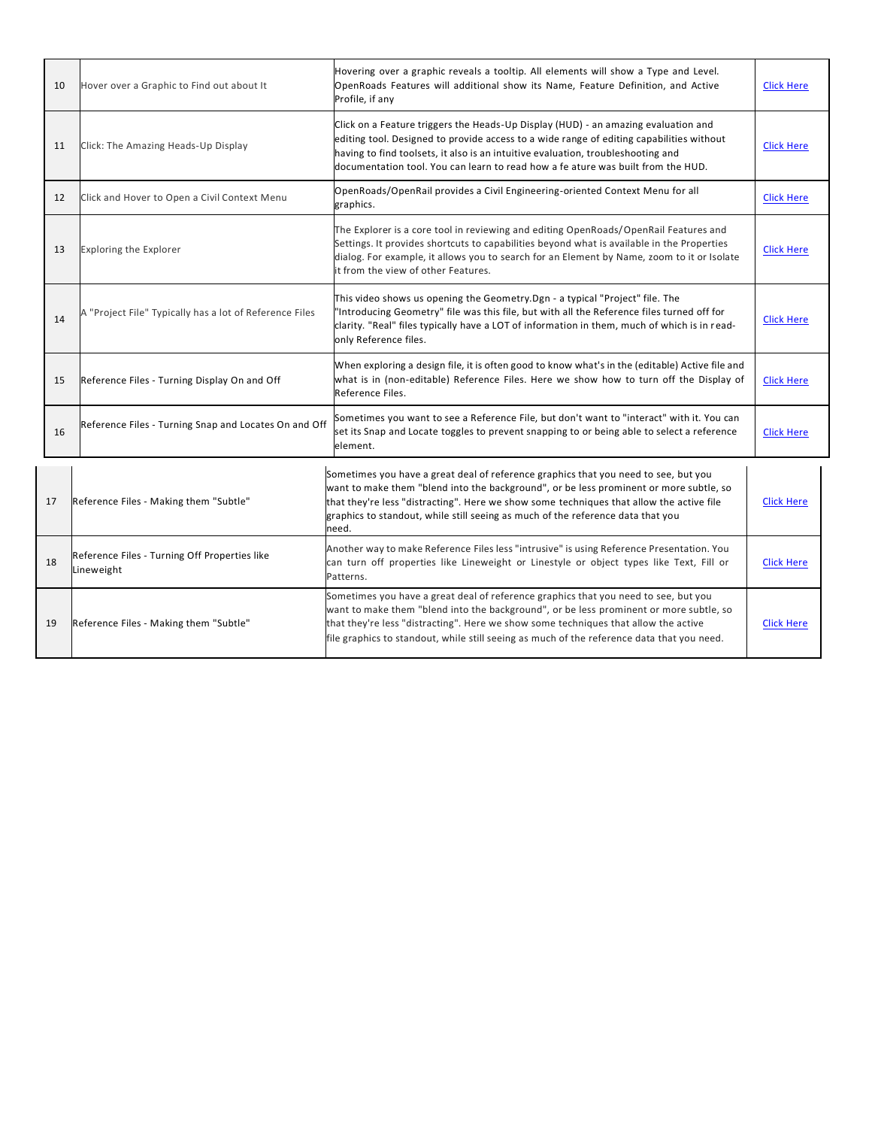| 10 | Hover over a Graphic to Find out about It                   | Hovering over a graphic reveals a tooltip. All elements will show a Type and Level.<br>OpenRoads Features will additional show its Name, Feature Definition, and Active<br>Profile, if any                                                                                                                                                                            | <b>Click Here</b> |
|----|-------------------------------------------------------------|-----------------------------------------------------------------------------------------------------------------------------------------------------------------------------------------------------------------------------------------------------------------------------------------------------------------------------------------------------------------------|-------------------|
| 11 | Click: The Amazing Heads-Up Display                         | Click on a Feature triggers the Heads-Up Display (HUD) - an amazing evaluation and<br>editing tool. Designed to provide access to a wide range of editing capabilities without<br>having to find toolsets, it also is an intuitive evaluation, troubleshooting and<br>documentation tool. You can learn to read how a fe ature was built from the HUD.                | <b>Click Here</b> |
| 12 | Click and Hover to Open a Civil Context Menu                | OpenRoads/OpenRail provides a Civil Engineering-oriented Context Menu for all<br>graphics.                                                                                                                                                                                                                                                                            | <b>Click Here</b> |
| 13 | <b>Exploring the Explorer</b>                               | The Explorer is a core tool in reviewing and editing OpenRoads/OpenRail Features and<br>Settings. It provides shortcuts to capabilities beyond what is available in the Properties<br>dialog. For example, it allows you to search for an Element by Name, zoom to it or Isolate<br>it from the view of other Features.                                               | <b>Click Here</b> |
| 14 | A "Project File" Typically has a lot of Reference Files     | This video shows us opening the Geometry.Dgn - a typical "Project" file. The<br>'Introducing Geometry" file was this file, but with all the Reference files turned off for<br>clarity. "Real" files typically have a LOT of information in them, much of which is in read-<br>only Reference files.                                                                   | <b>Click Here</b> |
| 15 | Reference Files - Turning Display On and Off                | When exploring a design file, it is often good to know what's in the (editable) Active file and<br>what is in (non-editable) Reference Files. Here we show how to turn off the Display of<br>Reference Files.                                                                                                                                                         | <b>Click Here</b> |
| 16 | Reference Files - Turning Snap and Locates On and Off       | Sometimes you want to see a Reference File, but don't want to "interact" with it. You can<br>set its Snap and Locate toggles to prevent snapping to or being able to select a reference<br>element.                                                                                                                                                                   | <b>Click Here</b> |
| 17 | Reference Files - Making them "Subtle"                      | Sometimes you have a great deal of reference graphics that you need to see, but you<br>want to make them "blend into the background", or be less prominent or more subtle, so<br>that they're less "distracting". Here we show some techniques that allow the active file<br>graphics to standout, while still seeing as much of the reference data that you<br>need. | <b>Click Here</b> |
| 18 | Reference Files - Turning Off Properties like<br>Lineweight | Another way to make Reference Files less "intrusive" is using Reference Presentation. You<br>can turn off properties like Lineweight or Linestyle or object types like Text, Fill or<br>Patterns.                                                                                                                                                                     | <b>Click Here</b> |
| 19 | Reference Files - Making them "Subtle"                      | Sometimes you have a great deal of reference graphics that you need to see, but you<br>want to make them "blend into the background", or be less prominent or more subtle, so<br>that they're less "distracting". Here we show some techniques that allow the active<br>file graphics to standout, while still seeing as much of the reference data that you need.    | <b>Click Here</b> |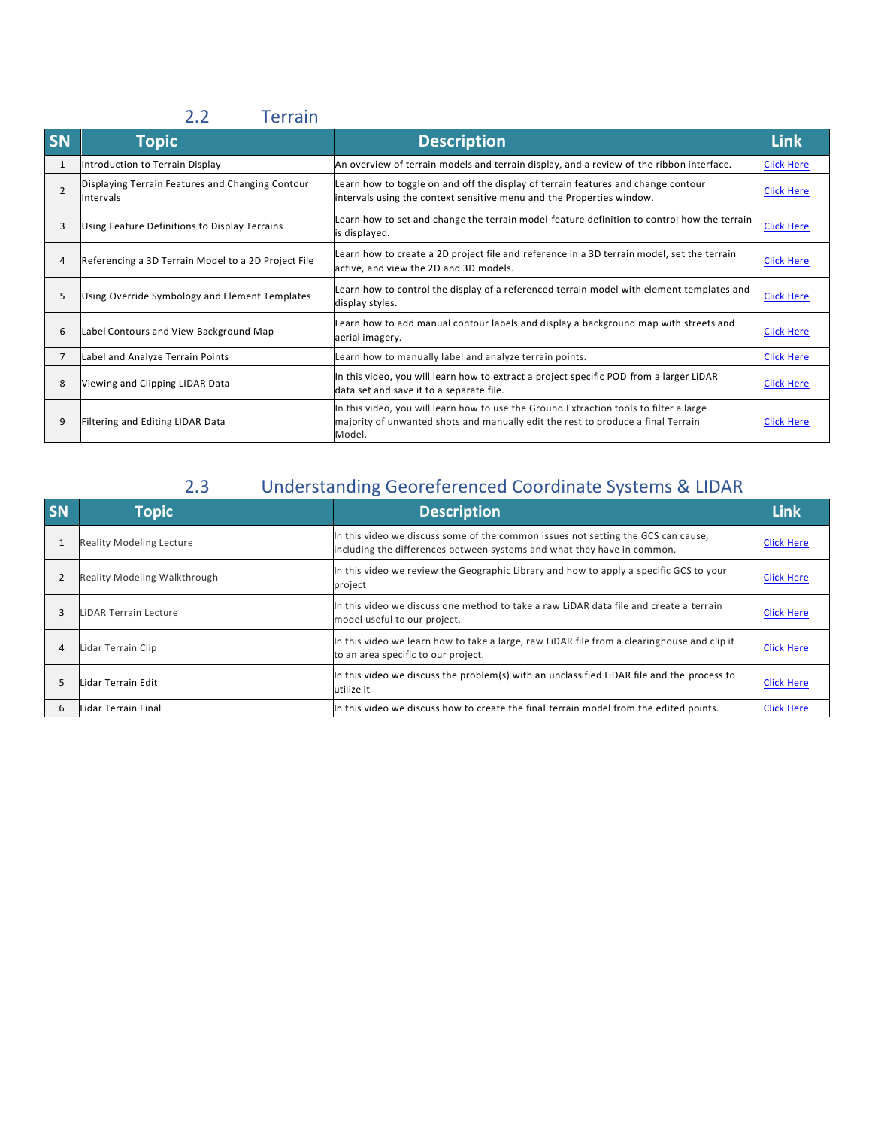### 2.2 Terrain

| <b>SN</b>      | <b>Topic</b>                                                         | <b>Description</b>                                                                                                                                                                   | <b>Link</b>       |
|----------------|----------------------------------------------------------------------|--------------------------------------------------------------------------------------------------------------------------------------------------------------------------------------|-------------------|
| 1              | Introduction to Terrain Display                                      | An overview of terrain models and terrain display, and a review of the ribbon interface.                                                                                             | <b>Click Here</b> |
| $\overline{2}$ | Displaying Terrain Features and Changing Contour<br><b>Intervals</b> | Learn how to toggle on and off the display of terrain features and change contour<br>intervals using the context sensitive menu and the Properties window.                           | <b>Click Here</b> |
| 3              | Using Feature Definitions to Display Terrains                        | Learn how to set and change the terrain model feature definition to control how the terrain<br>is displayed.                                                                         | <b>Click Here</b> |
| 4              | Referencing a 3D Terrain Model to a 2D Project File                  | Learn how to create a 2D project file and reference in a 3D terrain model, set the terrain<br>active, and view the 2D and 3D models.                                                 | <b>Click Here</b> |
| 5              | Using Override Symbology and Element Templates                       | Learn how to control the display of a referenced terrain model with element templates and<br>display styles.                                                                         | <b>Click Here</b> |
| 6              | Label Contours and View Background Map                               | Learn how to add manual contour labels and display a background map with streets and<br>aerial imagery.                                                                              | <b>Click Here</b> |
| $\overline{7}$ | Label and Analyze Terrain Points                                     | Learn how to manually label and analyze terrain points.                                                                                                                              | <b>Click Here</b> |
| 8              | Viewing and Clipping LIDAR Data                                      | In this video, you will learn how to extract a project specific POD from a larger LiDAR<br>data set and save it to a separate file.                                                  | <b>Click Here</b> |
| 9              | Filtering and Editing LIDAR Data                                     | In this video, you will learn how to use the Ground Extraction tools to filter a large<br>majority of unwanted shots and manually edit the rest to produce a final Terrain<br>Model. | <b>Click Here</b> |

# 2.3 Understanding Georeferenced Coordinate Systems & LIDAR

| <b>SN</b> | <b>Topic</b>                        | <b>Description</b>                                                                                                                                           | Link              |
|-----------|-------------------------------------|--------------------------------------------------------------------------------------------------------------------------------------------------------------|-------------------|
|           | <b>Reality Modeling Lecture</b>     | In this video we discuss some of the common issues not setting the GCS can cause,<br>including the differences between systems and what they have in common. | <b>Click Here</b> |
|           | <b>Reality Modeling Walkthrough</b> | In this video we review the Geographic Library and how to apply a specific GCS to your<br>project                                                            | <b>Click Here</b> |
| в         | LiDAR Terrain Lecture               | In this video we discuss one method to take a raw LiDAR data file and create a terrain<br>model useful to our project.                                       | <b>Click Here</b> |
| 4         | Lidar Terrain Clip                  | In this video we learn how to take a large, raw LiDAR file from a clearinghouse and clip it<br>to an area specific to our project.                           | <b>Click Here</b> |
|           | Lidar Terrain Edit                  | In this video we discuss the problem(s) with an unclassified LiDAR file and the process to<br>utilize it.                                                    | <b>Click Here</b> |
| 6         | Lidar Terrain Final                 | In this video we discuss how to create the final terrain model from the edited points.                                                                       | <b>Click Here</b> |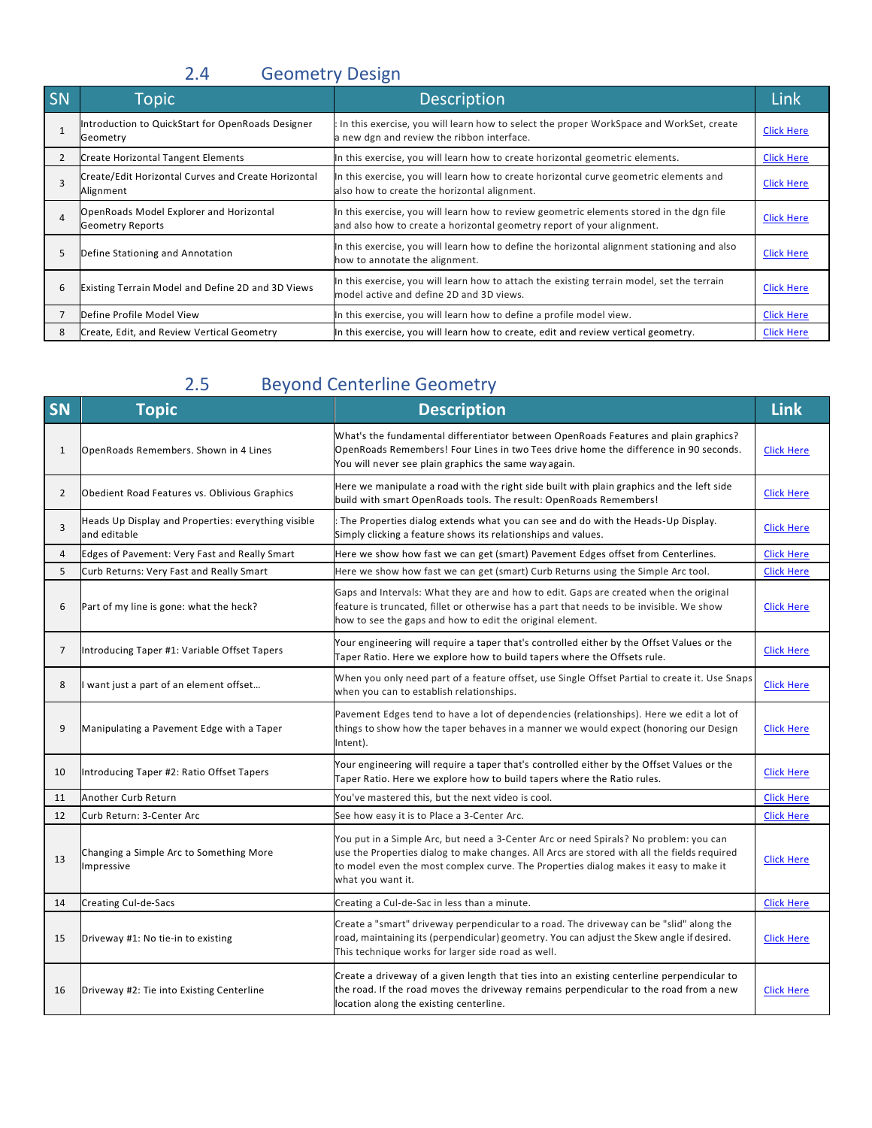# 2.4 Geometry Design

| SN | Topic                                                              | <b>Description</b>                                                                                                                                                 | Link              |
|----|--------------------------------------------------------------------|--------------------------------------------------------------------------------------------------------------------------------------------------------------------|-------------------|
|    | Introduction to QuickStart for OpenRoads Designer<br>Geometry      | In this exercise, you will learn how to select the proper WorkSpace and WorkSet, create<br>a new dgn and review the ribbon interface.                              | <b>Click Here</b> |
|    | <b>Create Horizontal Tangent Elements</b>                          | In this exercise, you will learn how to create horizontal geometric elements.                                                                                      | <b>Click Here</b> |
|    | Create/Edit Horizontal Curves and Create Horizontal<br>Alignment   | In this exercise, you will learn how to create horizontal curve geometric elements and<br>also how to create the horizontal alignment.                             | <b>Click Here</b> |
| 4  | OpenRoads Model Explorer and Horizontal<br><b>Geometry Reports</b> | In this exercise, you will learn how to review geometric elements stored in the dgn file<br>and also how to create a horizontal geometry report of your alignment. | <b>Click Here</b> |
|    | Define Stationing and Annotation                                   | In this exercise, you will learn how to define the horizontal alignment stationing and also<br>how to annotate the alignment.                                      | <b>Click Here</b> |
| 6  | Existing Terrain Model and Define 2D and 3D Views                  | In this exercise, you will learn how to attach the existing terrain model, set the terrain<br>model active and define 2D and 3D views.                             | <b>Click Here</b> |
|    | Define Profile Model View                                          | In this exercise, you will learn how to define a profile model view.                                                                                               | <b>Click Here</b> |
| 8  | Create, Edit, and Review Vertical Geometry                         | In this exercise, you will learn how to create, edit and review vertical geometry.                                                                                 | <b>Click Here</b> |

# 2.5 Beyond Centerline Geometry

| SN             | <b>Topic</b>                                                        | <b>Description</b>                                                                                                                                                                                                                                                                                | <b>Link</b>       |
|----------------|---------------------------------------------------------------------|---------------------------------------------------------------------------------------------------------------------------------------------------------------------------------------------------------------------------------------------------------------------------------------------------|-------------------|
| $\mathbf{1}$   | OpenRoads Remembers. Shown in 4 Lines                               | What's the fundamental differentiator between OpenRoads Features and plain graphics?<br>OpenRoads Remembers! Four Lines in two Tees drive home the difference in 90 seconds.<br>You will never see plain graphics the same way again.                                                             | <b>Click Here</b> |
| $\overline{2}$ | Obedient Road Features vs. Oblivious Graphics                       | Here we manipulate a road with the right side built with plain graphics and the left side<br>build with smart OpenRoads tools. The result: OpenRoads Remembers!                                                                                                                                   | <b>Click Here</b> |
| 3              | Heads Up Display and Properties: everything visible<br>and editable | The Properties dialog extends what you can see and do with the Heads-Up Display.<br>Simply clicking a feature shows its relationships and values.                                                                                                                                                 | <b>Click Here</b> |
| $\overline{a}$ | Edges of Pavement: Very Fast and Really Smart                       | Here we show how fast we can get (smart) Pavement Edges offset from Centerlines.                                                                                                                                                                                                                  | <b>Click Here</b> |
| 5              | Curb Returns: Very Fast and Really Smart                            | Here we show how fast we can get (smart) Curb Returns using the Simple Arc tool.                                                                                                                                                                                                                  | <b>Click Here</b> |
| 6              | Part of my line is gone: what the heck?                             | Gaps and Intervals: What they are and how to edit. Gaps are created when the original<br>feature is truncated, fillet or otherwise has a part that needs to be invisible. We show<br>how to see the gaps and how to edit the original element.                                                    | <b>Click Here</b> |
| $\overline{7}$ | Introducing Taper #1: Variable Offset Tapers                        | Your engineering will require a taper that's controlled either by the Offset Values or the<br>Taper Ratio. Here we explore how to build tapers where the Offsets rule.                                                                                                                            | <b>Click Here</b> |
| 8              | I want just a part of an element offset                             | When you only need part of a feature offset, use Single Offset Partial to create it. Use Snaps<br>when you can to establish relationships.                                                                                                                                                        | <b>Click Here</b> |
| 9              | Manipulating a Pavement Edge with a Taper                           | Pavement Edges tend to have a lot of dependencies (relationships). Here we edit a lot of<br>things to show how the taper behaves in a manner we would expect (honoring our Design<br>Intent).                                                                                                     | <b>Click Here</b> |
| 10             | Introducing Taper #2: Ratio Offset Tapers                           | Your engineering will require a taper that's controlled either by the Offset Values or the<br>Taper Ratio. Here we explore how to build tapers where the Ratio rules.                                                                                                                             | <b>Click Here</b> |
| 11             | Another Curb Return                                                 | You've mastered this, but the next video is cool.                                                                                                                                                                                                                                                 | <b>Click Here</b> |
| 12             | Curb Return: 3-Center Arc                                           | See how easy it is to Place a 3-Center Arc.                                                                                                                                                                                                                                                       | <b>Click Here</b> |
| 13             | Changing a Simple Arc to Something More<br>Impressive               | You put in a Simple Arc, but need a 3-Center Arc or need Spirals? No problem: you can<br>use the Properties dialog to make changes. All Arcs are stored with all the fields required<br>to model even the most complex curve. The Properties dialog makes it easy to make it<br>what you want it. | <b>Click Here</b> |
| 14             | Creating Cul-de-Sacs                                                | Creating a Cul-de-Sac in less than a minute.                                                                                                                                                                                                                                                      | <b>Click Here</b> |
| 15             | Driveway #1: No tie-in to existing                                  | Create a "smart" driveway perpendicular to a road. The driveway can be "slid" along the<br>road, maintaining its (perpendicular) geometry. You can adjust the Skew angle if desired.<br>This technique works for larger side road as well.                                                        | <b>Click Here</b> |
| 16             | Driveway #2: Tie into Existing Centerline                           | Create a driveway of a given length that ties into an existing centerline perpendicular to<br>the road. If the road moves the driveway remains perpendicular to the road from a new<br>location along the existing centerline.                                                                    | <b>Click Here</b> |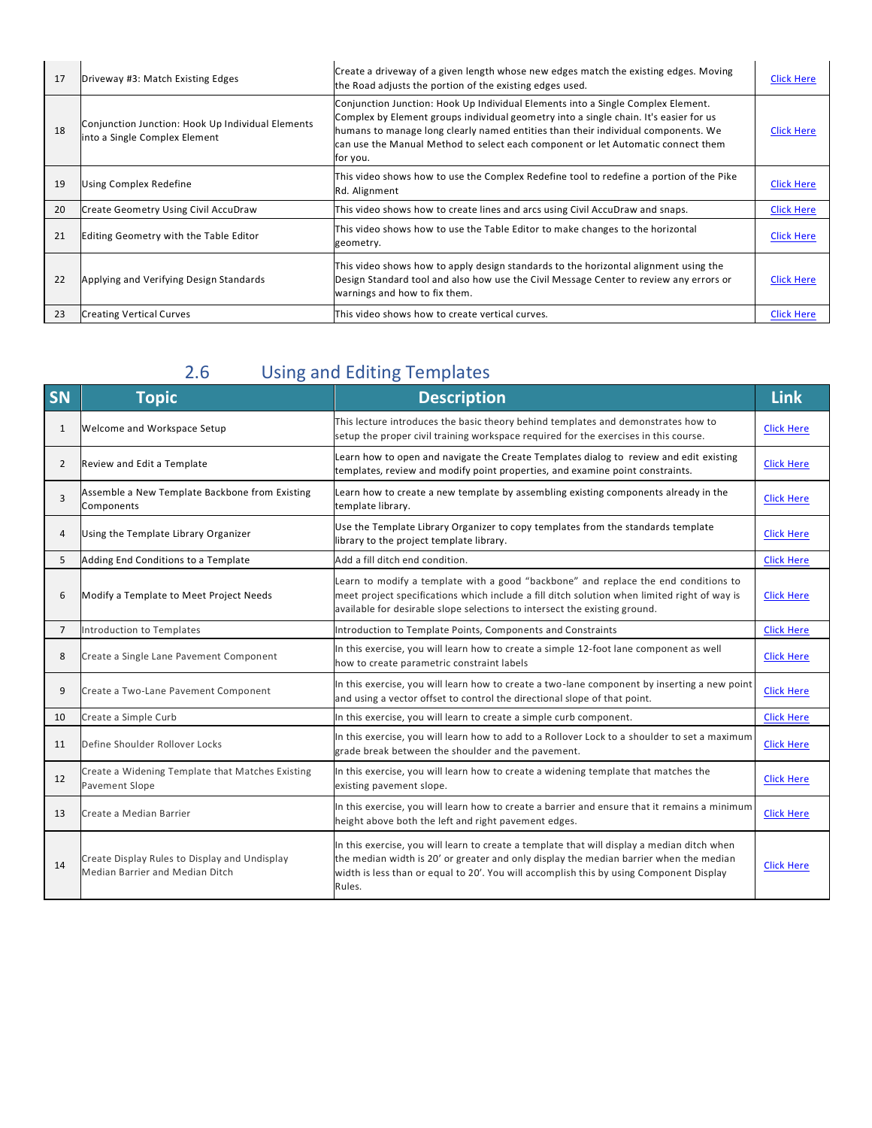| 17 | Driveway #3: Match Existing Edges                                                  | Create a driveway of a given length whose new edges match the existing edges. Moving<br>the Road adjusts the portion of the existing edges used.                                                                                                                                                                                                               | <b>Click Here</b> |
|----|------------------------------------------------------------------------------------|----------------------------------------------------------------------------------------------------------------------------------------------------------------------------------------------------------------------------------------------------------------------------------------------------------------------------------------------------------------|-------------------|
| 18 | Conjunction Junction: Hook Up Individual Elements<br>into a Single Complex Element | Conjunction Junction: Hook Up Individual Elements into a Single Complex Element.<br>Complex by Element groups individual geometry into a single chain. It's easier for us<br>humans to manage long clearly named entities than their individual components. We<br>can use the Manual Method to select each component or let Automatic connect them<br>for you. | <b>Click Here</b> |
| 19 | Using Complex Redefine                                                             | This video shows how to use the Complex Redefine tool to redefine a portion of the Pike<br>Rd. Alignment                                                                                                                                                                                                                                                       | <b>Click Here</b> |
| 20 | Create Geometry Using Civil AccuDraw                                               | This video shows how to create lines and arcs using Civil AccuDraw and snaps.                                                                                                                                                                                                                                                                                  | <b>Click Here</b> |
| 21 | Editing Geometry with the Table Editor                                             | This video shows how to use the Table Editor to make changes to the horizontal<br>geometry.                                                                                                                                                                                                                                                                    | <b>Click Here</b> |
| 22 | Applying and Verifying Design Standards                                            | This video shows how to apply design standards to the horizontal alignment using the<br>Design Standard tool and also how use the Civil Message Center to review any errors or<br>warnings and how to fix them.                                                                                                                                                | <b>Click Here</b> |
| 23 | <b>Creating Vertical Curves</b>                                                    | This video shows how to create vertical curves.                                                                                                                                                                                                                                                                                                                | <b>Click Here</b> |

## 2.6 Using and Editing Templates

| SN             | <b>Topic</b>                                                                     | <b>Description</b>                                                                                                                                                                                                                                                                         | <b>Link</b>       |
|----------------|----------------------------------------------------------------------------------|--------------------------------------------------------------------------------------------------------------------------------------------------------------------------------------------------------------------------------------------------------------------------------------------|-------------------|
| 1              | Welcome and Workspace Setup                                                      | This lecture introduces the basic theory behind templates and demonstrates how to<br>setup the proper civil training workspace required for the exercises in this course.                                                                                                                  | <b>Click Here</b> |
| $\overline{2}$ | Review and Edit a Template                                                       | Learn how to open and navigate the Create Templates dialog to review and edit existing<br>templates, review and modify point properties, and examine point constraints.                                                                                                                    | <b>Click Here</b> |
| 3              | Assemble a New Template Backbone from Existing<br>Components                     | Learn how to create a new template by assembling existing components already in the<br>template library.                                                                                                                                                                                   | <b>Click Here</b> |
| $\overline{4}$ | Using the Template Library Organizer                                             | Use the Template Library Organizer to copy templates from the standards template<br>library to the project template library.                                                                                                                                                               | <b>Click Here</b> |
| 5              | Adding End Conditions to a Template                                              | Add a fill ditch end condition.                                                                                                                                                                                                                                                            | <b>Click Here</b> |
| 6              | Modify a Template to Meet Project Needs                                          | Learn to modify a template with a good "backbone" and replace the end conditions to<br>meet project specifications which include a fill ditch solution when limited right of way is<br>available for desirable slope selections to intersect the existing ground.                          | <b>Click Here</b> |
| $7^{\circ}$    | Introduction to Templates                                                        | Introduction to Template Points, Components and Constraints                                                                                                                                                                                                                                | <b>Click Here</b> |
| 8              | Create a Single Lane Pavement Component                                          | In this exercise, you will learn how to create a simple 12-foot lane component as well<br>how to create parametric constraint labels                                                                                                                                                       | <b>Click Here</b> |
| 9              | Create a Two-Lane Pavement Component                                             | In this exercise, you will learn how to create a two-lane component by inserting a new point<br>and using a vector offset to control the directional slope of that point.                                                                                                                  | <b>Click Here</b> |
| 10             | Create a Simple Curb                                                             | In this exercise, you will learn to create a simple curb component.                                                                                                                                                                                                                        | <b>Click Here</b> |
| 11             | Define Shoulder Rollover Locks                                                   | In this exercise, you will learn how to add to a Rollover Lock to a shoulder to set a maximum<br>grade break between the shoulder and the pavement.                                                                                                                                        | <b>Click Here</b> |
| 12             | Create a Widening Template that Matches Existing<br>Pavement Slope               | In this exercise, you will learn how to create a widening template that matches the<br>existing pavement slope.                                                                                                                                                                            | <b>Click Here</b> |
| 13             | Create a Median Barrier                                                          | In this exercise, you will learn how to create a barrier and ensure that it remains a minimum<br>height above both the left and right pavement edges.                                                                                                                                      | <b>Click Here</b> |
| 14             | Create Display Rules to Display and Undisplay<br>Median Barrier and Median Ditch | In this exercise, you will learn to create a template that will display a median ditch when<br>the median width is 20' or greater and only display the median barrier when the median<br>width is less than or equal to 20'. You will accomplish this by using Component Display<br>Rules. | <b>Click Here</b> |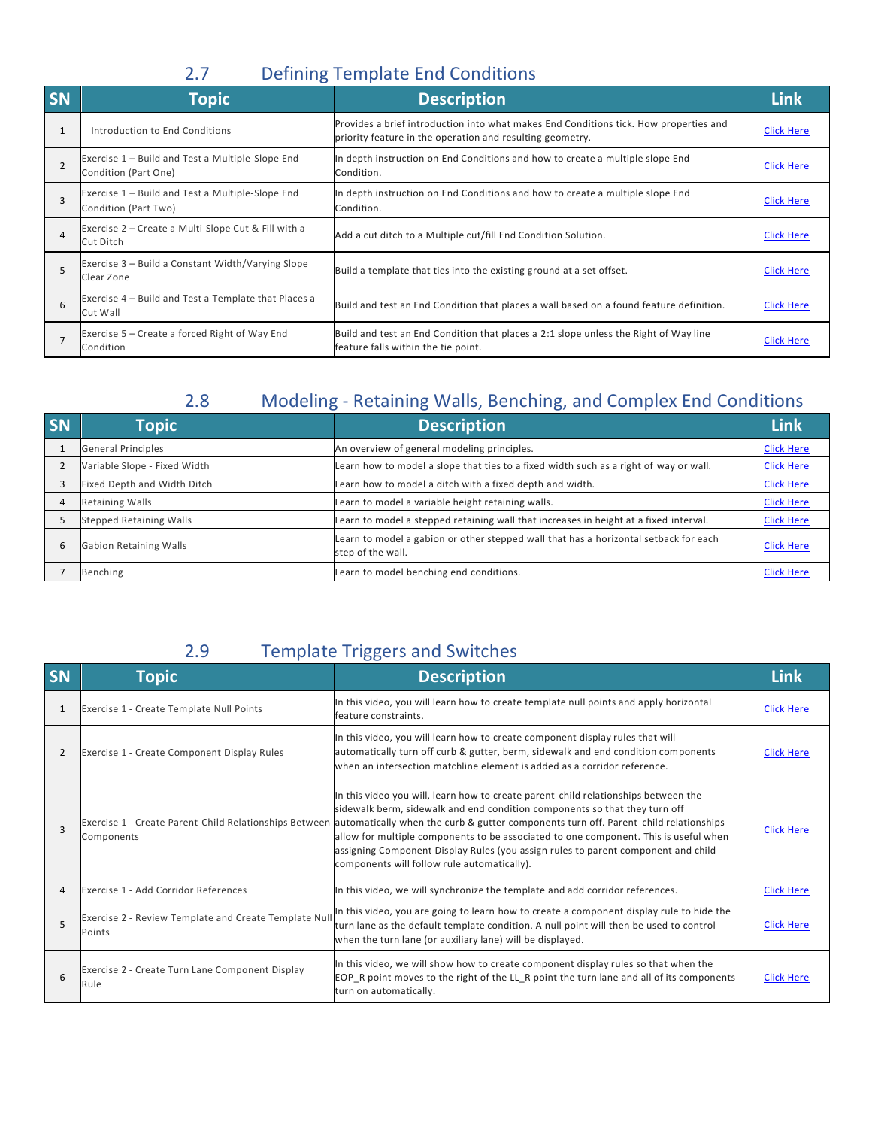### 2.7 Defining Template End Conditions

| <b>SN</b>      | <b>Topic</b>                                                             | <b>Description</b>                                                                                                                                 | Link              |
|----------------|--------------------------------------------------------------------------|----------------------------------------------------------------------------------------------------------------------------------------------------|-------------------|
| $\mathbf{1}$   | Introduction to End Conditions                                           | Provides a brief introduction into what makes End Conditions tick. How properties and<br>priority feature in the operation and resulting geometry. | <b>Click Here</b> |
|                | Exercise 1 - Build and Test a Multiple-Slope End<br>Condition (Part One) | In depth instruction on End Conditions and how to create a multiple slope End<br>Condition.                                                        | <b>Click Here</b> |
| 3              | Exercise 1 - Build and Test a Multiple-Slope End<br>Condition (Part Two) | In depth instruction on End Conditions and how to create a multiple slope End<br>Condition.                                                        | <b>Click Here</b> |
| $\overline{a}$ | Exercise 2 – Create a Multi-Slope Cut & Fill with a<br>Cut Ditch         | Add a cut ditch to a Multiple cut/fill End Condition Solution.                                                                                     | <b>Click Here</b> |
|                | Exercise 3 - Build a Constant Width/Varying Slope<br>Clear Zone          | Build a template that ties into the existing ground at a set offset.                                                                               | <b>Click Here</b> |
| $\mathsf{6}$   | Exercise 4 – Build and Test a Template that Places a<br>Cut Wall         | Build and test an End Condition that places a wall based on a found feature definition.                                                            | <b>Click Here</b> |
|                | Exercise 5 – Create a forced Right of Way End<br>Condition               | Build and test an End Condition that places a 2:1 slope unless the Right of Way line<br>feature falls within the tie point.                        | <b>Click Here</b> |

### 2.8 Modeling - Retaining Walls, Benching, and Complex End Conditions

| SN | <b>Topic</b>                   | <b>Description</b>                                                                                        | Link              |
|----|--------------------------------|-----------------------------------------------------------------------------------------------------------|-------------------|
|    | <b>General Principles</b>      | An overview of general modeling principles.                                                               | <b>Click Here</b> |
|    | Variable Slope - Fixed Width   | Learn how to model a slope that ties to a fixed width such as a right of way or wall.                     | <b>Click Here</b> |
|    | Fixed Depth and Width Ditch    | Learn how to model a ditch with a fixed depth and width.                                                  | <b>Click Here</b> |
|    | <b>Retaining Walls</b>         | Learn to model a variable height retaining walls.                                                         | <b>Click Here</b> |
|    | <b>Stepped Retaining Walls</b> | Learn to model a stepped retaining wall that increases in height at a fixed interval.                     | <b>Click Here</b> |
| 6  | <b>Gabion Retaining Walls</b>  | Learn to model a gabion or other stepped wall that has a horizontal setback for each<br>step of the wall. | <b>Click Here</b> |
|    | Benching                       | Learn to model benching end conditions.                                                                   | <b>Click Here</b> |

### 2.9 Template Triggers and Switches

| SN             | <b>Topic</b>                                                    | <b>Description</b>                                                                                                                                                                                                                                                                                                                                                                                                                                                                                                                          | <b>Link</b>       |
|----------------|-----------------------------------------------------------------|---------------------------------------------------------------------------------------------------------------------------------------------------------------------------------------------------------------------------------------------------------------------------------------------------------------------------------------------------------------------------------------------------------------------------------------------------------------------------------------------------------------------------------------------|-------------------|
| 1              | Exercise 1 - Create Template Null Points                        | In this video, you will learn how to create template null points and apply horizontal<br>feature constraints.                                                                                                                                                                                                                                                                                                                                                                                                                               | <b>Click Here</b> |
| 2              | Exercise 1 - Create Component Display Rules                     | In this video, you will learn how to create component display rules that will<br>automatically turn off curb & gutter, berm, sidewalk and end condition components<br>when an intersection matchline element is added as a corridor reference.                                                                                                                                                                                                                                                                                              | <b>Click Here</b> |
| $\overline{3}$ | Components                                                      | In this video you will, learn how to create parent-child relationships between the<br>sidewalk berm, sidewalk and end condition components so that they turn off<br>Exercise 1 - Create Parent-Child Relationships Between automatically when the curb & gutter components turn off. Parent-child relationships<br>allow for multiple components to be associated to one component. This is useful when<br>assigning Component Display Rules (you assign rules to parent component and child<br>components will follow rule automatically). | <b>Click Here</b> |
| Δ              | Exercise 1 - Add Corridor References                            | In this video, we will synchronize the template and add corridor references.                                                                                                                                                                                                                                                                                                                                                                                                                                                                | <b>Click Here</b> |
| 5              | Exercise 2 - Review Template and Create Template Null<br>Points | In this video, you are going to learn how to create a component display rule to hide the<br>turn lane as the default template condition. A null point will then be used to control<br>when the turn lane (or auxiliary lane) will be displayed.                                                                                                                                                                                                                                                                                             | <b>Click Here</b> |
| $\mathsf{6}$   | Exercise 2 - Create Turn Lane Component Display<br>Rule         | In this video, we will show how to create component display rules so that when the<br>EOP R point moves to the right of the LL R point the turn lane and all of its components<br>turn on automatically.                                                                                                                                                                                                                                                                                                                                    | <b>Click Here</b> |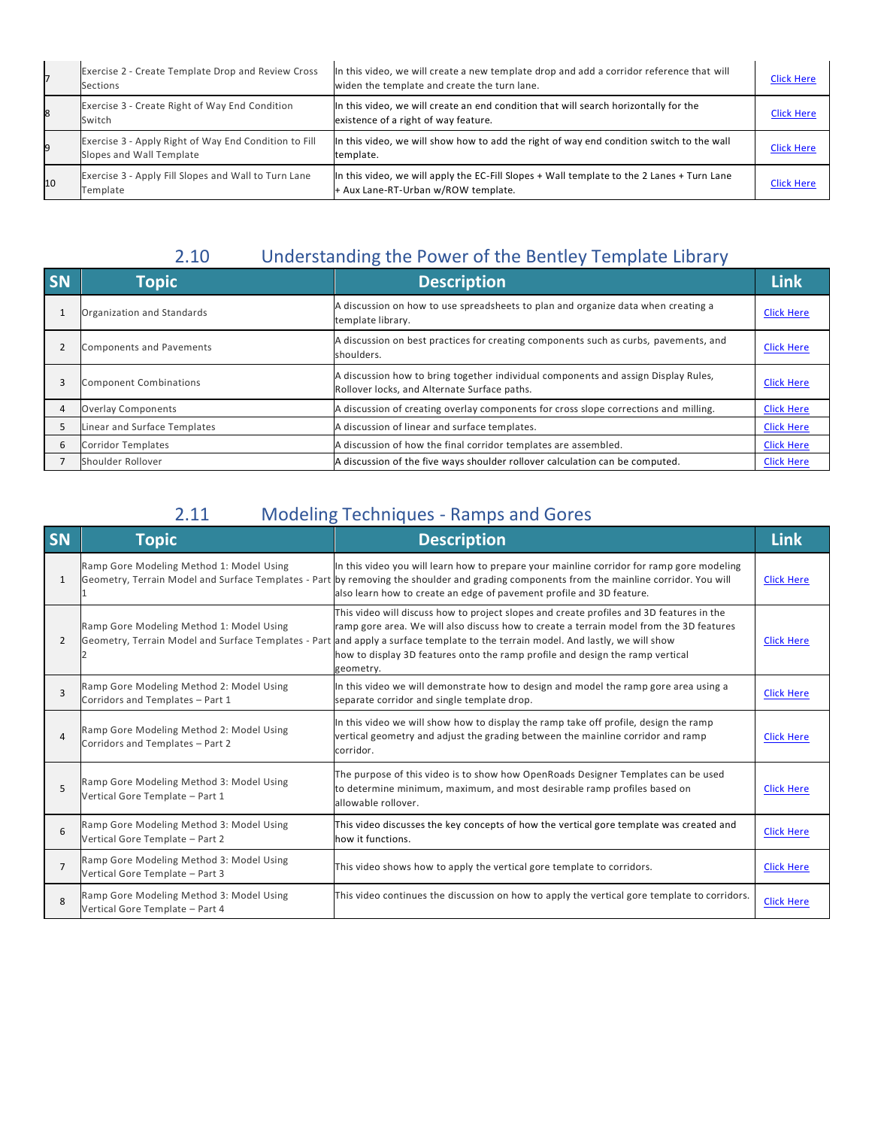|    | Exercise 2 - Create Template Drop and Review Cross<br>Sections                    | In this video, we will create a new template drop and add a corridor reference that will<br>widen the template and create the turn lane. | <b>Click Here</b> |
|----|-----------------------------------------------------------------------------------|------------------------------------------------------------------------------------------------------------------------------------------|-------------------|
|    | Exercise 3 - Create Right of Way End Condition<br>Switch                          | In this video, we will create an end condition that will search horizontally for the<br>existence of a right of way feature.             | <b>Click Here</b> |
|    | Exercise 3 - Apply Right of Way End Condition to Fill<br>Slopes and Wall Template | In this video, we will show how to add the right of way end condition switch to the wall<br>template.                                    | <b>Click Here</b> |
| 10 | Exercise 3 - Apply Fill Slopes and Wall to Turn Lane<br>Template                  | In this video, we will apply the EC-Fill Slopes + Wall template to the 2 Lanes + Turn Lane<br>+ Aux Lane-RT-Urban w/ROW template.        | <b>Click Here</b> |

# 2.10 Understanding the Power of the Bentley Template Library

| <b>SN</b> | <b>Topic</b>                    | <b>Description</b>                                                                                                                 | <b>Link</b>       |
|-----------|---------------------------------|------------------------------------------------------------------------------------------------------------------------------------|-------------------|
|           | Organization and Standards      | A discussion on how to use spreadsheets to plan and organize data when creating a<br>template library.                             | <b>Click Here</b> |
|           | <b>Components and Pavements</b> | A discussion on best practices for creating components such as curbs, pavements, and<br>shoulders.                                 | <b>Click Here</b> |
|           | <b>Component Combinations</b>   | A discussion how to bring together individual components and assign Display Rules,<br>Rollover locks, and Alternate Surface paths. | <b>Click Here</b> |
|           | <b>Overlay Components</b>       | A discussion of creating overlay components for cross slope corrections and milling.                                               | <b>Click Here</b> |
|           | Linear and Surface Templates    | A discussion of linear and surface templates.                                                                                      | <b>Click Here</b> |
| 6         | <b>Corridor Templates</b>       | A discussion of how the final corridor templates are assembled.                                                                    | <b>Click Here</b> |
|           | Shoulder Rollover               | A discussion of the five ways shoulder rollover calculation can be computed.                                                       | <b>Click Here</b> |

## 2.11 Modeling Techniques - Ramps and Gores

| <b>SN</b>      | <b>Topic</b>                                                                 | <b>Description</b>                                                                                                                                                                                                                                                                                                                                                                                                    | <b>Link</b>       |
|----------------|------------------------------------------------------------------------------|-----------------------------------------------------------------------------------------------------------------------------------------------------------------------------------------------------------------------------------------------------------------------------------------------------------------------------------------------------------------------------------------------------------------------|-------------------|
| 1              | Ramp Gore Modeling Method 1: Model Using                                     | In this video you will learn how to prepare your mainline corridor for ramp gore modeling<br>Geometry, Terrain Model and Surface Templates - Part by removing the shoulder and grading components from the mainline corridor. You will<br>also learn how to create an edge of pavement profile and 3D feature.                                                                                                        | <b>Click Here</b> |
| $\overline{2}$ | Ramp Gore Modeling Method 1: Model Using                                     | This video will discuss how to project slopes and create profiles and 3D features in the<br>ramp gore area. We will also discuss how to create a terrain model from the 3D features<br>Geometry, Terrain Model and Surface Templates - Part and apply a surface template to the terrain model. And lastly, we will show<br>how to display 3D features onto the ramp profile and design the ramp vertical<br>geometry. | <b>Click Here</b> |
| 3              | Ramp Gore Modeling Method 2: Model Using<br>Corridors and Templates - Part 1 | In this video we will demonstrate how to design and model the ramp gore area using a<br>separate corridor and single template drop.                                                                                                                                                                                                                                                                                   | <b>Click Here</b> |
| 4              | Ramp Gore Modeling Method 2: Model Using<br>Corridors and Templates - Part 2 | In this video we will show how to display the ramp take off profile, design the ramp<br>vertical geometry and adjust the grading between the mainline corridor and ramp<br>corridor.                                                                                                                                                                                                                                  | <b>Click Here</b> |
| 5              | Ramp Gore Modeling Method 3: Model Using<br>Vertical Gore Template - Part 1  | The purpose of this video is to show how OpenRoads Designer Templates can be used<br>to determine minimum, maximum, and most desirable ramp profiles based on<br>allowable rollover.                                                                                                                                                                                                                                  | <b>Click Here</b> |
| 6              | Ramp Gore Modeling Method 3: Model Using<br>Vertical Gore Template - Part 2  | This video discusses the key concepts of how the vertical gore template was created and<br>how it functions.                                                                                                                                                                                                                                                                                                          | <b>Click Here</b> |
| $\overline{7}$ | Ramp Gore Modeling Method 3: Model Using<br>Vertical Gore Template - Part 3  | This video shows how to apply the vertical gore template to corridors.                                                                                                                                                                                                                                                                                                                                                | <b>Click Here</b> |
| 8              | Ramp Gore Modeling Method 3: Model Using<br>Vertical Gore Template - Part 4  | This video continues the discussion on how to apply the vertical gore template to corridors.                                                                                                                                                                                                                                                                                                                          | <b>Click Here</b> |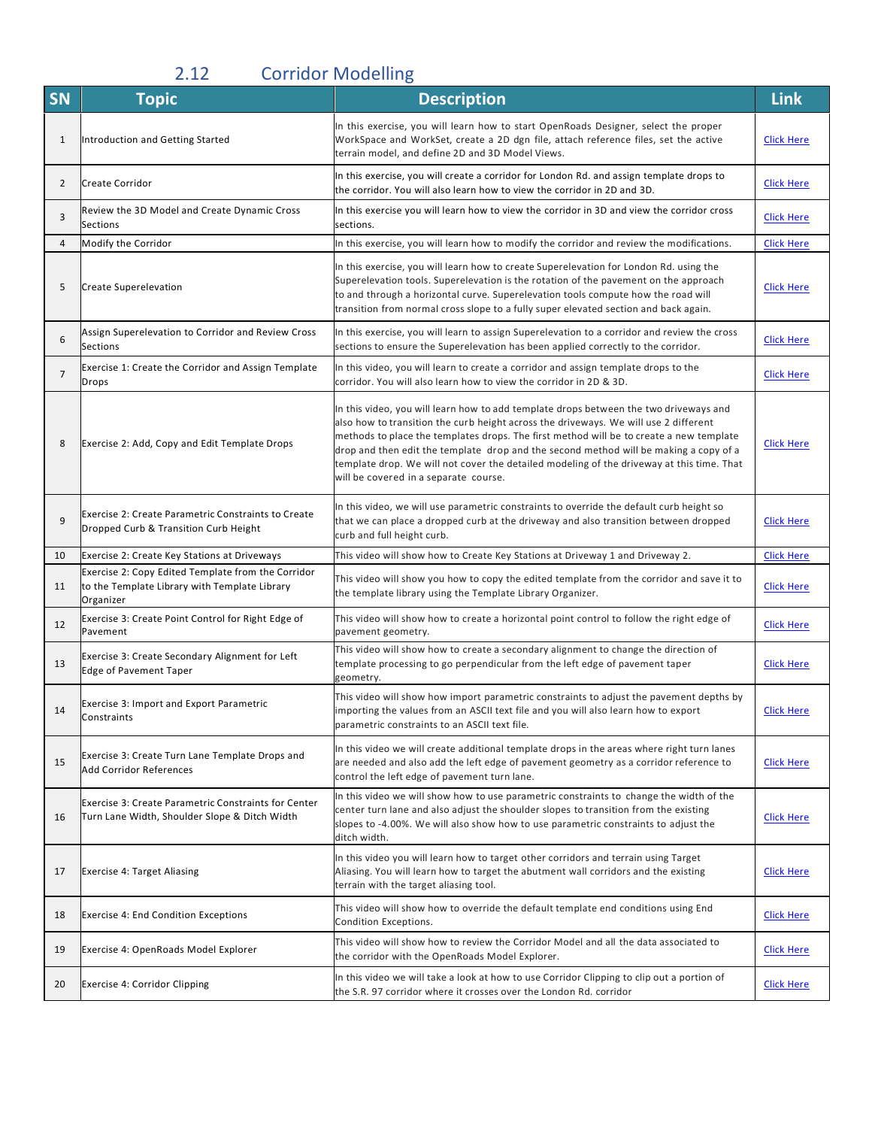# 2.12 Corridor Modelling

| SN             | <b>Topic</b>                                                                                                     | <b>Description</b>                                                                                                                                                                                                                                                                                                                                                                                                                                                                                      | <b>Link</b>       |
|----------------|------------------------------------------------------------------------------------------------------------------|---------------------------------------------------------------------------------------------------------------------------------------------------------------------------------------------------------------------------------------------------------------------------------------------------------------------------------------------------------------------------------------------------------------------------------------------------------------------------------------------------------|-------------------|
| 1              | Introduction and Getting Started                                                                                 | In this exercise, you will learn how to start OpenRoads Designer, select the proper<br>WorkSpace and WorkSet, create a 2D dgn file, attach reference files, set the active<br>terrain model, and define 2D and 3D Model Views.                                                                                                                                                                                                                                                                          | <b>Click Here</b> |
| 2              | Create Corridor                                                                                                  | In this exercise, you will create a corridor for London Rd. and assign template drops to<br>the corridor. You will also learn how to view the corridor in 2D and 3D.                                                                                                                                                                                                                                                                                                                                    | <b>Click Here</b> |
| 3              | Review the 3D Model and Create Dynamic Cross<br><b>Sections</b>                                                  | In this exercise you will learn how to view the corridor in 3D and view the corridor cross<br>sections.                                                                                                                                                                                                                                                                                                                                                                                                 | <b>Click Here</b> |
| 4              | Modify the Corridor                                                                                              | In this exercise, you will learn how to modify the corridor and review the modifications.                                                                                                                                                                                                                                                                                                                                                                                                               | <b>Click Here</b> |
| 5              | <b>Create Superelevation</b>                                                                                     | In this exercise, you will learn how to create Superelevation for London Rd. using the<br>Superelevation tools. Superelevation is the rotation of the pavement on the approach<br>to and through a horizontal curve. Superelevation tools compute how the road will<br>transition from normal cross slope to a fully super elevated section and back again.                                                                                                                                             | <b>Click Here</b> |
| 6              | Assign Superelevation to Corridor and Review Cross<br><b>Sections</b>                                            | In this exercise, you will learn to assign Superelevation to a corridor and review the cross<br>sections to ensure the Superelevation has been applied correctly to the corridor.                                                                                                                                                                                                                                                                                                                       | <b>Click Here</b> |
| $\overline{7}$ | Exercise 1: Create the Corridor and Assign Template<br>Drops                                                     | In this video, you will learn to create a corridor and assign template drops to the<br>corridor. You will also learn how to view the corridor in 2D & 3D.                                                                                                                                                                                                                                                                                                                                               | <b>Click Here</b> |
| 8              | Exercise 2: Add, Copy and Edit Template Drops                                                                    | In this video, you will learn how to add template drops between the two driveways and<br>also how to transition the curb height across the driveways. We will use 2 different<br>methods to place the templates drops. The first method will be to create a new template<br>drop and then edit the template drop and the second method will be making a copy of a<br>template drop. We will not cover the detailed modeling of the driveway at this time. That<br>will be covered in a separate course. | <b>Click Here</b> |
| 9              | Exercise 2: Create Parametric Constraints to Create<br>Dropped Curb & Transition Curb Height                     | In this video, we will use parametric constraints to override the default curb height so<br>that we can place a dropped curb at the driveway and also transition between dropped<br>curb and full height curb.                                                                                                                                                                                                                                                                                          | <b>Click Here</b> |
| 10             | Exercise 2: Create Key Stations at Driveways                                                                     | This video will show how to Create Key Stations at Driveway 1 and Driveway 2.                                                                                                                                                                                                                                                                                                                                                                                                                           | <b>Click Here</b> |
| 11             | Exercise 2: Copy Edited Template from the Corridor<br>to the Template Library with Template Library<br>Organizer | This video will show you how to copy the edited template from the corridor and save it to<br>the template library using the Template Library Organizer.                                                                                                                                                                                                                                                                                                                                                 | <b>Click Here</b> |
| 12             | Exercise 3: Create Point Control for Right Edge of<br>Pavement                                                   | This video will show how to create a horizontal point control to follow the right edge of<br>pavement geometry.                                                                                                                                                                                                                                                                                                                                                                                         | <b>Click Here</b> |
| 13             | Exercise 3: Create Secondary Alignment for Left<br>Edge of Pavement Taper                                        | This video will show how to create a secondary alignment to change the direction of<br>template processing to go perpendicular from the left edge of pavement taper<br>geometry.                                                                                                                                                                                                                                                                                                                        | <b>Click Here</b> |
| 14             | Exercise 3: Import and Export Parametric<br>Constraints                                                          | This video will show how import parametric constraints to adjust the pavement depths by<br>importing the values from an ASCII text file and you will also learn how to export<br>parametric constraints to an ASCII text file.                                                                                                                                                                                                                                                                          | <b>Click Here</b> |
| 15             | Exercise 3: Create Turn Lane Template Drops and<br>Add Corridor References                                       | In this video we will create additional template drops in the areas where right turn lanes<br>are needed and also add the left edge of pavement geometry as a corridor reference to<br>control the left edge of pavement turn lane.                                                                                                                                                                                                                                                                     | <b>Click Here</b> |
| 16             | Exercise 3: Create Parametric Constraints for Center<br>Turn Lane Width, Shoulder Slope & Ditch Width            | In this video we will show how to use parametric constraints to change the width of the<br>center turn lane and also adjust the shoulder slopes to transition from the existing<br>slopes to -4.00%. We will also show how to use parametric constraints to adjust the<br>ditch width.                                                                                                                                                                                                                  | <b>Click Here</b> |
| 17             | Exercise 4: Target Aliasing                                                                                      | In this video you will learn how to target other corridors and terrain using Target<br>Aliasing. You will learn how to target the abutment wall corridors and the existing<br>terrain with the target aliasing tool.                                                                                                                                                                                                                                                                                    | <b>Click Here</b> |
| 18             | Exercise 4: End Condition Exceptions                                                                             | This video will show how to override the default template end conditions using End<br>Condition Exceptions.                                                                                                                                                                                                                                                                                                                                                                                             | <b>Click Here</b> |
| 19             | Exercise 4: OpenRoads Model Explorer                                                                             | This video will show how to review the Corridor Model and all the data associated to<br>the corridor with the OpenRoads Model Explorer.                                                                                                                                                                                                                                                                                                                                                                 | Click Here        |
| 20             | Exercise 4: Corridor Clipping                                                                                    | In this video we will take a look at how to use Corridor Clipping to clip out a portion of<br>the S.R. 97 corridor where it crosses over the London Rd. corridor                                                                                                                                                                                                                                                                                                                                        | Click Here        |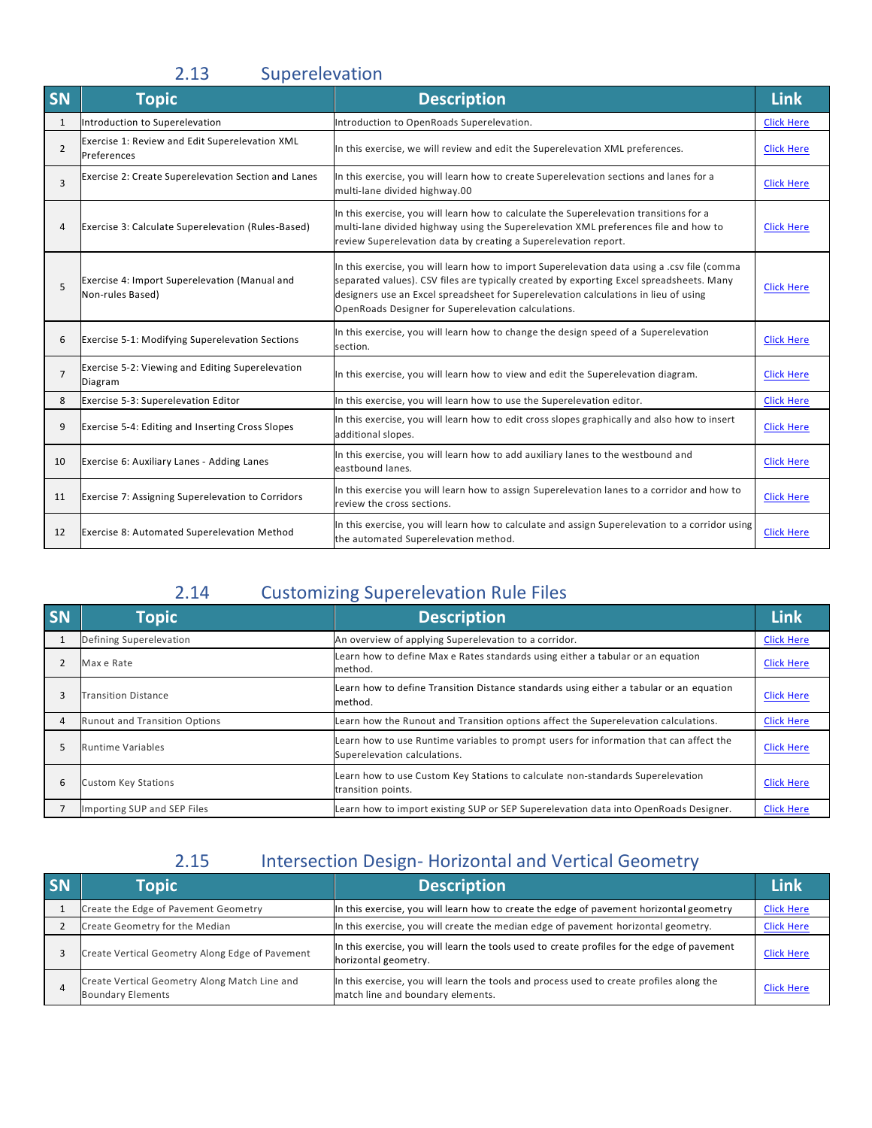### 2.13 Superelevation

| SN             | <b>Topic</b>                                                      | <b>Description</b>                                                                                                                                                                                                                                                                                                                    | <b>Link</b>       |
|----------------|-------------------------------------------------------------------|---------------------------------------------------------------------------------------------------------------------------------------------------------------------------------------------------------------------------------------------------------------------------------------------------------------------------------------|-------------------|
| $\mathbf{1}$   | Introduction to Superelevation                                    | Introduction to OpenRoads Superelevation.                                                                                                                                                                                                                                                                                             | <b>Click Here</b> |
| $\overline{2}$ | Exercise 1: Review and Edit Superelevation XML<br>Preferences     | In this exercise, we will review and edit the Superelevation XML preferences.                                                                                                                                                                                                                                                         | <b>Click Here</b> |
| 3              | Exercise 2: Create Superelevation Section and Lanes               | In this exercise, you will learn how to create Superelevation sections and lanes for a<br>multi-lane divided highway.00                                                                                                                                                                                                               | <b>Click Here</b> |
| 4              | Exercise 3: Calculate Superelevation (Rules-Based)                | In this exercise, you will learn how to calculate the Superelevation transitions for a<br>multi-lane divided highway using the Superelevation XML preferences file and how to<br>review Superelevation data by creating a Superelevation report.                                                                                      | <b>Click Here</b> |
| 5              | Exercise 4: Import Superelevation (Manual and<br>Non-rules Based) | In this exercise, you will learn how to import Superelevation data using a .csv file (comma<br>separated values). CSV files are typically created by exporting Excel spreadsheets. Many<br>designers use an Excel spreadsheet for Superelevation calculations in lieu of using<br>OpenRoads Designer for Superelevation calculations. | <b>Click Here</b> |
| 6              | Exercise 5-1: Modifying Superelevation Sections                   | In this exercise, you will learn how to change the design speed of a Superelevation<br>section.                                                                                                                                                                                                                                       | <b>Click Here</b> |
| $\overline{7}$ | Exercise 5-2: Viewing and Editing Superelevation<br>Diagram       | In this exercise, you will learn how to view and edit the Superelevation diagram.                                                                                                                                                                                                                                                     | <b>Click Here</b> |
| 8              | Exercise 5-3: Superelevation Editor                               | In this exercise, you will learn how to use the Superelevation editor.                                                                                                                                                                                                                                                                | <b>Click Here</b> |
| 9              | Exercise 5-4: Editing and Inserting Cross Slopes                  | In this exercise, you will learn how to edit cross slopes graphically and also how to insert<br>additional slopes.                                                                                                                                                                                                                    | <b>Click Here</b> |
| 10             | Exercise 6: Auxiliary Lanes - Adding Lanes                        | In this exercise, you will learn how to add auxiliary lanes to the westbound and<br>eastbound lanes.                                                                                                                                                                                                                                  | <b>Click Here</b> |
| 11             | Exercise 7: Assigning Superelevation to Corridors                 | In this exercise you will learn how to assign Superelevation lanes to a corridor and how to<br>review the cross sections.                                                                                                                                                                                                             | <b>Click Here</b> |
| 12             | Exercise 8: Automated Superelevation Method                       | In this exercise, you will learn how to calculate and assign Superelevation to a corridor using<br>the automated Superelevation method.                                                                                                                                                                                               | <b>Click Here</b> |

### 2.14 Customizing Superelevation Rule Files

| <b>SN</b> | <b>Topic</b>                         | <b>Description</b>                                                                                                     | <b>Link</b>       |
|-----------|--------------------------------------|------------------------------------------------------------------------------------------------------------------------|-------------------|
|           | Defining Superelevation              | An overview of applying Superelevation to a corridor.                                                                  | <b>Click Here</b> |
|           | Max e Rate                           | Learn how to define Max e Rates standards using either a tabular or an equation<br>method.                             | <b>Click Here</b> |
|           | <b>Transition Distance</b>           | Learn how to define Transition Distance standards using either a tabular or an equation<br>method.                     | <b>Click Here</b> |
| 4         | <b>Runout and Transition Options</b> | Learn how the Runout and Transition options affect the Superelevation calculations.                                    | <b>Click Here</b> |
|           | <b>Runtime Variables</b>             | Learn how to use Runtime variables to prompt users for information that can affect the<br>Superelevation calculations. | <b>Click Here</b> |
| 6         | <b>Custom Key Stations</b>           | Learn how to use Custom Key Stations to calculate non-standards Superelevation<br>transition points.                   | <b>Click Here</b> |
|           | Importing SUP and SEP Files          | Learn how to import existing SUP or SEP Superelevation data into OpenRoads Designer.                                   | <b>Click Here</b> |

### 2.15 Intersection Design- Horizontal and Vertical Geometry

| <b>SN</b> | <b>Topic</b>                                                              | <b>Description</b>                                                                                                            | Link              |
|-----------|---------------------------------------------------------------------------|-------------------------------------------------------------------------------------------------------------------------------|-------------------|
|           | Create the Edge of Pavement Geometry                                      | In this exercise, you will learn how to create the edge of pavement horizontal geometry                                       | <b>Click Here</b> |
|           | Create Geometry for the Median                                            | In this exercise, you will create the median edge of pavement horizontal geometry.                                            | <b>Click Here</b> |
|           | Create Vertical Geometry Along Edge of Pavement                           | In this exercise, you will learn the tools used to create profiles for the edge of pavement<br>horizontal geometry.           | <b>Click Here</b> |
|           | Create Vertical Geometry Along Match Line and<br><b>Boundary Elements</b> | In this exercise, you will learn the tools and process used to create profiles along the<br>match line and boundary elements. | <b>Click Here</b> |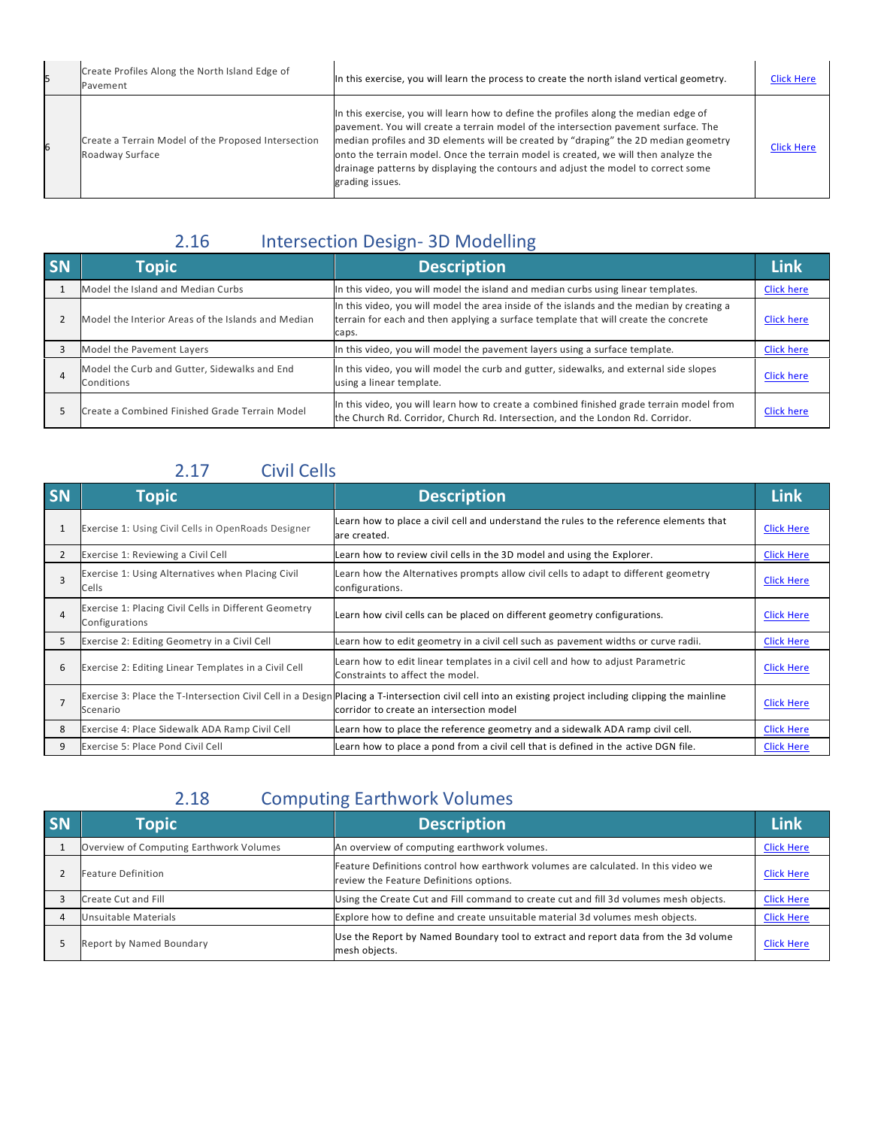| 15 | Create Profiles Along the North Island Edge of<br>Pavement             | In this exercise, you will learn the process to create the north island vertical geometry.                                                                                                                                                                                                                                                                                                                                                                        | <b>Click Here</b> |
|----|------------------------------------------------------------------------|-------------------------------------------------------------------------------------------------------------------------------------------------------------------------------------------------------------------------------------------------------------------------------------------------------------------------------------------------------------------------------------------------------------------------------------------------------------------|-------------------|
| 6  | Create a Terrain Model of the Proposed Intersection<br>Roadway Surface | In this exercise, you will learn how to define the profiles along the median edge of<br>pavement. You will create a terrain model of the intersection pavement surface. The<br>median profiles and 3D elements will be created by "draping" the 2D median geometry<br>onto the terrain model. Once the terrain model is created, we will then analyze the<br>drainage patterns by displaying the contours and adjust the model to correct some<br>grading issues. | <b>Click Here</b> |

### 2.16 Intersection Design- 3D Modelling

| <b>SN</b> | <b>Topic</b>                                               | <b>Description</b>                                                                                                                                                                        | Link              |
|-----------|------------------------------------------------------------|-------------------------------------------------------------------------------------------------------------------------------------------------------------------------------------------|-------------------|
|           | Model the Island and Median Curbs                          | In this video, you will model the island and median curbs using linear templates.                                                                                                         | <b>Click here</b> |
|           | Model the Interior Areas of the Islands and Median         | In this video, you will model the area inside of the islands and the median by creating a<br>terrain for each and then applying a surface template that will create the concrete<br>caps. | <b>Click here</b> |
|           | Model the Pavement Layers                                  | In this video, you will model the pavement layers using a surface template.                                                                                                               | <b>Click here</b> |
| 4         | Model the Curb and Gutter, Sidewalks and End<br>Conditions | In this video, you will model the curb and gutter, sidewalks, and external side slopes<br>using a linear template.                                                                        | <b>Click here</b> |
|           | Create a Combined Finished Grade Terrain Model             | In this video, you will learn how to create a combined finished grade terrain model from<br>the Church Rd. Corridor, Church Rd. Intersection, and the London Rd. Corridor.                | <b>Click here</b> |

#### 2.17 Civil Cells

| <b>SN</b>      | <b>Topic</b>                                                            | <b>Description</b>                                                                                                                                                                                   | <b>Link</b>       |
|----------------|-------------------------------------------------------------------------|------------------------------------------------------------------------------------------------------------------------------------------------------------------------------------------------------|-------------------|
| 1              | Exercise 1: Using Civil Cells in OpenRoads Designer                     | Learn how to place a civil cell and understand the rules to the reference elements that<br>are created.                                                                                              | <b>Click Here</b> |
| $\overline{2}$ | Exercise 1: Reviewing a Civil Cell                                      | Learn how to review civil cells in the 3D model and using the Explorer.                                                                                                                              | <b>Click Here</b> |
|                | Exercise 1: Using Alternatives when Placing Civil<br>Cells              | Learn how the Alternatives prompts allow civil cells to adapt to different geometry<br>configurations.                                                                                               | <b>Click Here</b> |
|                | Exercise 1: Placing Civil Cells in Different Geometry<br>Configurations | Learn how civil cells can be placed on different geometry configurations.                                                                                                                            | <b>Click Here</b> |
| 5              | Exercise 2: Editing Geometry in a Civil Cell                            | Learn how to edit geometry in a civil cell such as pavement widths or curve radii.                                                                                                                   | <b>Click Here</b> |
| 6              | Exercise 2: Editing Linear Templates in a Civil Cell                    | Learn how to edit linear templates in a civil cell and how to adjust Parametric<br>Constraints to affect the model.                                                                                  | <b>Click Here</b> |
|                | Scenario                                                                | Exercise 3: Place the T-Intersection Civil Cell in a Design Placing a T-intersection civil cell into an existing project including clipping the mainline<br>corridor to create an intersection model | <b>Click Here</b> |
| 8              | Exercise 4: Place Sidewalk ADA Ramp Civil Cell                          | Learn how to place the reference geometry and a sidewalk ADA ramp civil cell.                                                                                                                        | <b>Click Here</b> |
| 9              | Exercise 5: Place Pond Civil Cell                                       | Learn how to place a pond from a civil cell that is defined in the active DGN file.                                                                                                                  | <b>Click Here</b> |

## 2.18 Computing Earthwork Volumes

| <b>SN</b> | <b>Topic</b>                            | <b>Description</b>                                                                                                            | <b>Link</b>       |
|-----------|-----------------------------------------|-------------------------------------------------------------------------------------------------------------------------------|-------------------|
|           | Overview of Computing Earthwork Volumes | An overview of computing earthwork volumes.                                                                                   | <b>Click Here</b> |
|           | Feature Definition                      | Feature Definitions control how earthwork volumes are calculated. In this video we<br>review the Feature Definitions options. | <b>Click Here</b> |
|           | Create Cut and Fill                     | Using the Create Cut and Fill command to create cut and fill 3d volumes mesh objects.                                         | <b>Click Here</b> |
|           | Unsuitable Materials                    | Explore how to define and create unsuitable material 3d volumes mesh objects.                                                 | <b>Click Here</b> |
|           | Report by Named Boundary                | Use the Report by Named Boundary tool to extract and report data from the 3d volume<br>mesh objects.                          | <b>Click Here</b> |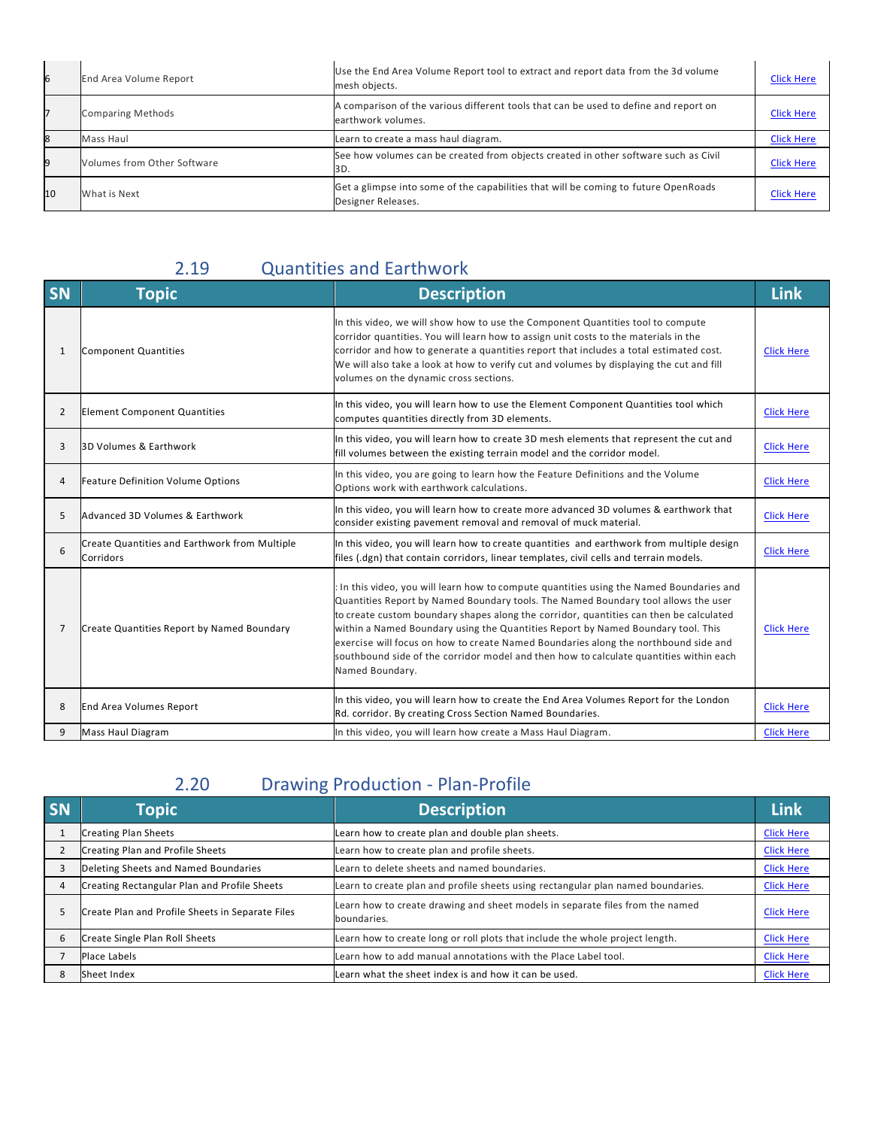| 6  | End Area Volume Report      | Use the End Area Volume Report tool to extract and report data from the 3d volume<br>mesh objects.         | <b>Click Here</b> |
|----|-----------------------------|------------------------------------------------------------------------------------------------------------|-------------------|
|    | <b>Comparing Methods</b>    | A comparison of the various different tools that can be used to define and report on<br>earthwork volumes. | <b>Click Here</b> |
|    | Mass Haul                   | Learn to create a mass haul diagram.                                                                       | <b>Click Here</b> |
| q  | Volumes from Other Software | See how volumes can be created from objects created in other software such as Civil<br>3D.                 | <b>Click Here</b> |
| 10 | What is Next                | Get a glimpse into some of the capabilities that will be coming to future OpenRoads<br>Designer Releases.  | <b>Click Here</b> |

#### 2.19 Quantities and Earthwork

| SN | <b>Topic</b>                                               | <b>Description</b>                                                                                                                                                                                                                                                                                                                                                                                                                                                                                                                                             | <b>Link</b>       |
|----|------------------------------------------------------------|----------------------------------------------------------------------------------------------------------------------------------------------------------------------------------------------------------------------------------------------------------------------------------------------------------------------------------------------------------------------------------------------------------------------------------------------------------------------------------------------------------------------------------------------------------------|-------------------|
| 1  | Component Quantities                                       | In this video, we will show how to use the Component Quantities tool to compute<br>corridor quantities. You will learn how to assign unit costs to the materials in the<br>corridor and how to generate a quantities report that includes a total estimated cost.<br>We will also take a look at how to verify cut and volumes by displaying the cut and fill<br>volumes on the dynamic cross sections.                                                                                                                                                        | <b>Click Here</b> |
| 2  | <b>Element Component Quantities</b>                        | In this video, you will learn how to use the Element Component Quantities tool which<br>computes quantities directly from 3D elements.                                                                                                                                                                                                                                                                                                                                                                                                                         | <b>Click Here</b> |
| 3  | 3D Volumes & Earthwork                                     | In this video, you will learn how to create 3D mesh elements that represent the cut and<br>fill volumes between the existing terrain model and the corridor model.                                                                                                                                                                                                                                                                                                                                                                                             | <b>Click Here</b> |
| 4  | <b>Feature Definition Volume Options</b>                   | In this video, you are going to learn how the Feature Definitions and the Volume<br>Options work with earthwork calculations.                                                                                                                                                                                                                                                                                                                                                                                                                                  | <b>Click Here</b> |
| 5  | Advanced 3D Volumes & Earthwork                            | In this video, you will learn how to create more advanced 3D volumes & earthwork that<br>consider existing pavement removal and removal of muck material.                                                                                                                                                                                                                                                                                                                                                                                                      | <b>Click Here</b> |
| 6  | Create Quantities and Earthwork from Multiple<br>Corridors | In this video, you will learn how to create quantities and earthwork from multiple design<br>files (.dgn) that contain corridors, linear templates, civil cells and terrain models.                                                                                                                                                                                                                                                                                                                                                                            | <b>Click Here</b> |
| 7  | Create Quantities Report by Named Boundary                 | In this video, you will learn how to compute quantities using the Named Boundaries and<br>Quantities Report by Named Boundary tools. The Named Boundary tool allows the user<br>to create custom boundary shapes along the corridor, quantities can then be calculated<br>within a Named Boundary using the Quantities Report by Named Boundary tool. This<br>exercise will focus on how to create Named Boundaries along the northbound side and<br>southbound side of the corridor model and then how to calculate quantities within each<br>Named Boundary. | <b>Click Here</b> |
| 8  | <b>End Area Volumes Report</b>                             | In this video, you will learn how to create the End Area Volumes Report for the London<br>Rd. corridor. By creating Cross Section Named Boundaries.                                                                                                                                                                                                                                                                                                                                                                                                            | <b>Click Here</b> |
| 9  | <b>Mass Haul Diagram</b>                                   | In this video, you will learn how create a Mass Haul Diagram.                                                                                                                                                                                                                                                                                                                                                                                                                                                                                                  | <b>Click Here</b> |

### 2.20 Drawing Production - Plan-Profile

| SN | <b>Topic</b>                                     | <b>Description</b>                                                                           | Link              |
|----|--------------------------------------------------|----------------------------------------------------------------------------------------------|-------------------|
|    | <b>Creating Plan Sheets</b>                      | Learn how to create plan and double plan sheets.                                             | <b>Click Here</b> |
|    | Creating Plan and Profile Sheets                 | Learn how to create plan and profile sheets.                                                 | <b>Click Here</b> |
|    | Deleting Sheets and Named Boundaries             | Learn to delete sheets and named boundaries.                                                 | <b>Click Here</b> |
|    | Creating Rectangular Plan and Profile Sheets     | Learn to create plan and profile sheets using rectangular plan named boundaries.             | <b>Click Here</b> |
| ∍  | Create Plan and Profile Sheets in Separate Files | Learn how to create drawing and sheet models in separate files from the named<br>boundaries. | <b>Click Here</b> |
|    | Create Single Plan Roll Sheets                   | Learn how to create long or roll plots that include the whole project length.                | <b>Click Here</b> |
|    | Place Labels                                     | Learn how to add manual annotations with the Place Label tool.                               | <b>Click Here</b> |
|    | Sheet Index                                      | Learn what the sheet index is and how it can be used.                                        | <b>Click Here</b> |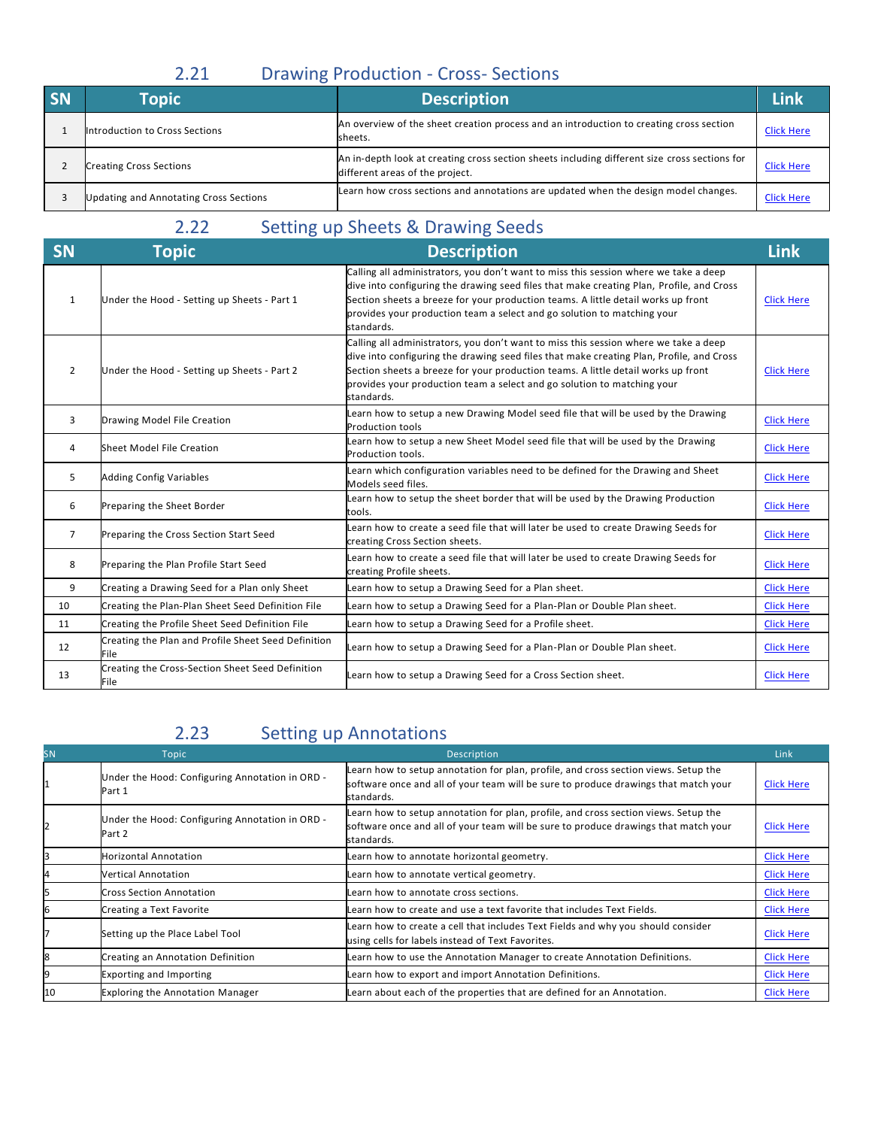### 2.21 Drawing Production - Cross- Sections

| <b>SN</b> | <b>Topic</b>                           | <b>Description</b>                                                                                                               | Link              |
|-----------|----------------------------------------|----------------------------------------------------------------------------------------------------------------------------------|-------------------|
|           | Introduction to Cross Sections         | An overview of the sheet creation process and an introduction to creating cross section<br>sheets.                               | <b>Click Here</b> |
|           | <b>Creating Cross Sections</b>         | An in-depth look at creating cross section sheets including different size cross sections for<br>different areas of the project. | <b>Click Here</b> |
|           | Updating and Annotating Cross Sections | Learn how cross sections and annotations are updated when the design model changes.                                              | <b>Click Here</b> |

## 2.22 Setting up Sheets & Drawing Seeds

| <b>SN</b>      | Topic」                                                             | <b>Description</b>                                                                                                                                                                                                                                                                                                                                             | <b>Link</b>       |
|----------------|--------------------------------------------------------------------|----------------------------------------------------------------------------------------------------------------------------------------------------------------------------------------------------------------------------------------------------------------------------------------------------------------------------------------------------------------|-------------------|
| 1              | Under the Hood - Setting up Sheets - Part 1                        | Calling all administrators, you don't want to miss this session where we take a deep<br>dive into configuring the drawing seed files that make creating Plan, Profile, and Cross<br>Section sheets a breeze for your production teams. A little detail works up front<br>provides your production team a select and go solution to matching your<br>standards. | <b>Click Here</b> |
| $\overline{2}$ | Under the Hood - Setting up Sheets - Part 2                        | Calling all administrators, you don't want to miss this session where we take a deep<br>dive into configuring the drawing seed files that make creating Plan, Profile, and Cross<br>Section sheets a breeze for your production teams. A little detail works up front<br>provides your production team a select and go solution to matching your<br>standards. | <b>Click Here</b> |
| 3              | Drawing Model File Creation                                        | Learn how to setup a new Drawing Model seed file that will be used by the Drawing<br><b>Production tools</b>                                                                                                                                                                                                                                                   | <b>Click Here</b> |
| 4              | Sheet Model File Creation                                          | Learn how to setup a new Sheet Model seed file that will be used by the Drawing<br>Production tools.                                                                                                                                                                                                                                                           | <b>Click Here</b> |
| 5              | <b>Adding Config Variables</b>                                     | Learn which configuration variables need to be defined for the Drawing and Sheet<br>Models seed files.                                                                                                                                                                                                                                                         | <b>Click Here</b> |
| 6              | Preparing the Sheet Border                                         | Learn how to setup the sheet border that will be used by the Drawing Production<br>tools.                                                                                                                                                                                                                                                                      | <b>Click Here</b> |
| $\overline{7}$ | Preparing the Cross Section Start Seed                             | Learn how to create a seed file that will later be used to create Drawing Seeds for<br>creating Cross Section sheets.                                                                                                                                                                                                                                          | <b>Click Here</b> |
| 8              | Preparing the Plan Profile Start Seed                              | Learn how to create a seed file that will later be used to create Drawing Seeds for<br>creating Profile sheets.                                                                                                                                                                                                                                                | <b>Click Here</b> |
| 9              | Creating a Drawing Seed for a Plan only Sheet                      | Learn how to setup a Drawing Seed for a Plan sheet.                                                                                                                                                                                                                                                                                                            | <b>Click Here</b> |
| 10             | Creating the Plan-Plan Sheet Seed Definition File                  | Learn how to setup a Drawing Seed for a Plan-Plan or Double Plan sheet.                                                                                                                                                                                                                                                                                        | <b>Click Here</b> |
| 11             | Creating the Profile Sheet Seed Definition File                    | Learn how to setup a Drawing Seed for a Profile sheet.                                                                                                                                                                                                                                                                                                         | <b>Click Here</b> |
| 12             | Creating the Plan and Profile Sheet Seed Definition<br><b>File</b> | Learn how to setup a Drawing Seed for a Plan-Plan or Double Plan sheet.                                                                                                                                                                                                                                                                                        | <b>Click Here</b> |
| 13             | Creating the Cross-Section Sheet Seed Definition<br>File           | Learn how to setup a Drawing Seed for a Cross Section sheet.                                                                                                                                                                                                                                                                                                   | <b>Click Here</b> |

## 2.23 Setting up Annotations

| <b>SN</b> | <b>Topic</b>                                              | Description                                                                                                                                                                              | Link              |
|-----------|-----------------------------------------------------------|------------------------------------------------------------------------------------------------------------------------------------------------------------------------------------------|-------------------|
|           | Under the Hood: Configuring Annotation in ORD -<br>Part 1 | Learn how to setup annotation for plan, profile, and cross section views. Setup the<br>software once and all of your team will be sure to produce drawings that match your<br>standards. | <b>Click Here</b> |
|           | Under the Hood: Configuring Annotation in ORD -<br>Part 2 | Learn how to setup annotation for plan, profile, and cross section views. Setup the<br>software once and all of your team will be sure to produce drawings that match your<br>standards. | <b>Click Here</b> |
|           | <b>Horizontal Annotation</b>                              | Learn how to annotate horizontal geometry.                                                                                                                                               | <b>Click Here</b> |
|           | <b>Vertical Annotation</b>                                | Learn how to annotate vertical geometry.                                                                                                                                                 | <b>Click Here</b> |
|           | <b>Cross Section Annotation</b>                           | Learn how to annotate cross sections.                                                                                                                                                    | <b>Click Here</b> |
|           | Creating a Text Favorite                                  | Learn how to create and use a text favorite that includes Text Fields.                                                                                                                   | <b>Click Here</b> |
|           | Setting up the Place Label Tool                           | Learn how to create a cell that includes Text Fields and why you should consider<br>using cells for labels instead of Text Favorites.                                                    | <b>Click Here</b> |
| 8         | Creating an Annotation Definition                         | Learn how to use the Annotation Manager to create Annotation Definitions.                                                                                                                | <b>Click Here</b> |
| 19        | <b>Exporting and Importing</b>                            | Learn how to export and import Annotation Definitions.                                                                                                                                   | <b>Click Here</b> |
| 10        | <b>Exploring the Annotation Manager</b>                   | Learn about each of the properties that are defined for an Annotation.                                                                                                                   | <b>Click Here</b> |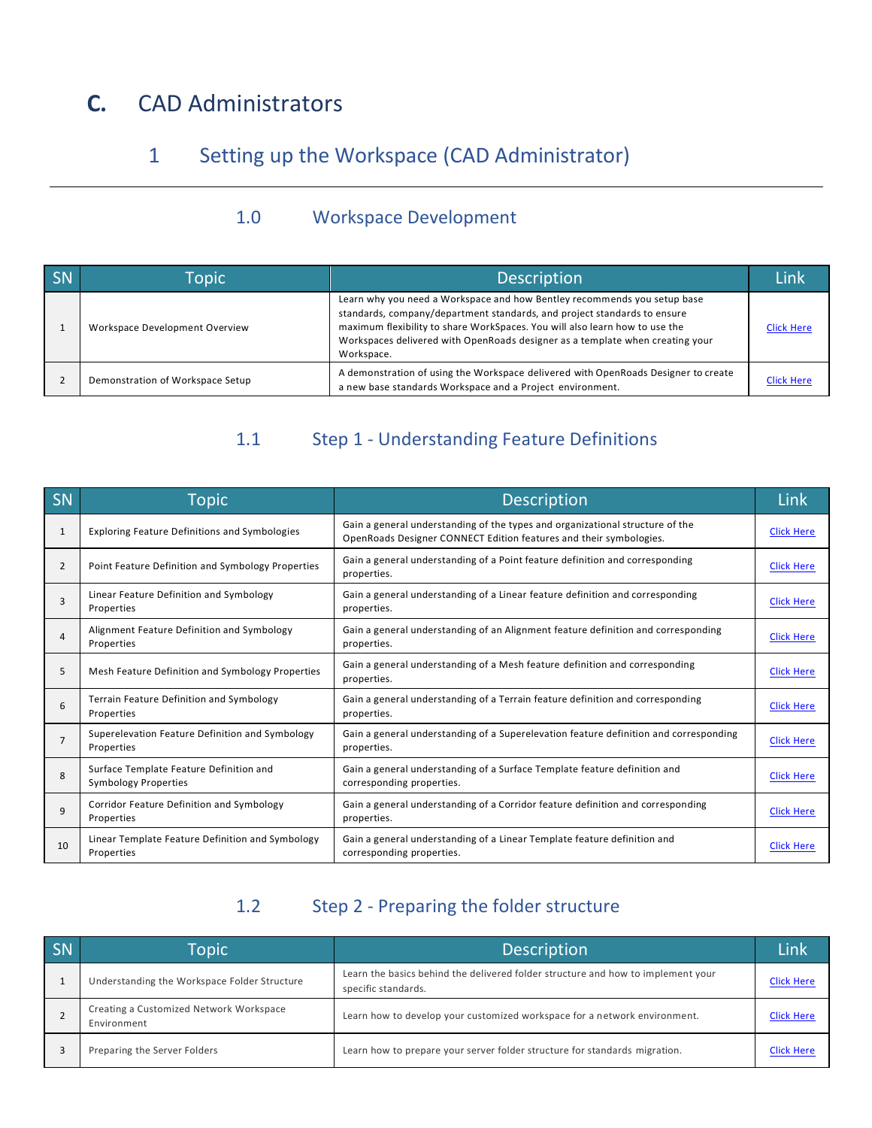# **C.** CAD Administrators

## 1 Setting up the Workspace (CAD Administrator)

#### 1.0 Workspace Development

| SN | Topic                            | <b>Description</b>                                                                                                                                                                                                                                                                                                                 | l ink             |
|----|----------------------------------|------------------------------------------------------------------------------------------------------------------------------------------------------------------------------------------------------------------------------------------------------------------------------------------------------------------------------------|-------------------|
|    | Workspace Development Overview   | Learn why you need a Workspace and how Bentley recommends you setup base<br>standards, company/department standards, and project standards to ensure<br>maximum flexibility to share WorkSpaces. You will also learn how to use the<br>Workspaces delivered with OpenRoads designer as a template when creating your<br>Workspace. | <b>Click Here</b> |
|    | Demonstration of Workspace Setup | A demonstration of using the Workspace delivered with OpenRoads Designer to create<br>a new base standards Workspace and a Project environment.                                                                                                                                                                                    | <b>Click Here</b> |

#### 1.1 Step 1 - Understanding Feature Definitions

| SN | <b>Topic</b>                                                           | <b>Description</b>                                                                                                                                  | Link              |
|----|------------------------------------------------------------------------|-----------------------------------------------------------------------------------------------------------------------------------------------------|-------------------|
| 1  | <b>Exploring Feature Definitions and Symbologies</b>                   | Gain a general understanding of the types and organizational structure of the<br>OpenRoads Designer CONNECT Edition features and their symbologies. | <b>Click Here</b> |
| 2  | Point Feature Definition and Symbology Properties                      | Gain a general understanding of a Point feature definition and corresponding<br>properties.                                                         | <b>Click Here</b> |
| 3  | Linear Feature Definition and Symbology<br>Properties                  | Gain a general understanding of a Linear feature definition and corresponding<br>properties.                                                        | <b>Click Here</b> |
| 4  | Alignment Feature Definition and Symbology<br>Properties               | Gain a general understanding of an Alignment feature definition and corresponding<br>properties.                                                    | <b>Click Here</b> |
| 5  | Mesh Feature Definition and Symbology Properties                       | Gain a general understanding of a Mesh feature definition and corresponding<br>properties.                                                          | <b>Click Here</b> |
| 6  | Terrain Feature Definition and Symbology<br>Properties                 | Gain a general understanding of a Terrain feature definition and corresponding<br>properties.                                                       | <b>Click Here</b> |
| 7  | Superelevation Feature Definition and Symbology<br>Properties          | Gain a general understanding of a Superelevation feature definition and corresponding<br>properties.                                                | <b>Click Here</b> |
| 8  | Surface Template Feature Definition and<br><b>Symbology Properties</b> | Gain a general understanding of a Surface Template feature definition and<br>corresponding properties.                                              | <b>Click Here</b> |
| 9  | Corridor Feature Definition and Symbology<br>Properties                | Gain a general understanding of a Corridor feature definition and corresponding<br>properties.                                                      | <b>Click Here</b> |
| 10 | Linear Template Feature Definition and Symbology<br>Properties         | Gain a general understanding of a Linear Template feature definition and<br>corresponding properties.                                               | <b>Click Here</b> |

### 1.2 Step 2 - Preparing the folder structure

| SN | Topic                                                  | Description                                                                                             | Link              |
|----|--------------------------------------------------------|---------------------------------------------------------------------------------------------------------|-------------------|
|    | Understanding the Workspace Folder Structure           | Learn the basics behind the delivered folder structure and how to implement your<br>specific standards. | <b>Click Here</b> |
|    | Creating a Customized Network Workspace<br>Environment | Learn how to develop your customized workspace for a network environment.                               | <b>Click Here</b> |
|    | Preparing the Server Folders                           | Learn how to prepare your server folder structure for standards migration.                              | <b>Click Here</b> |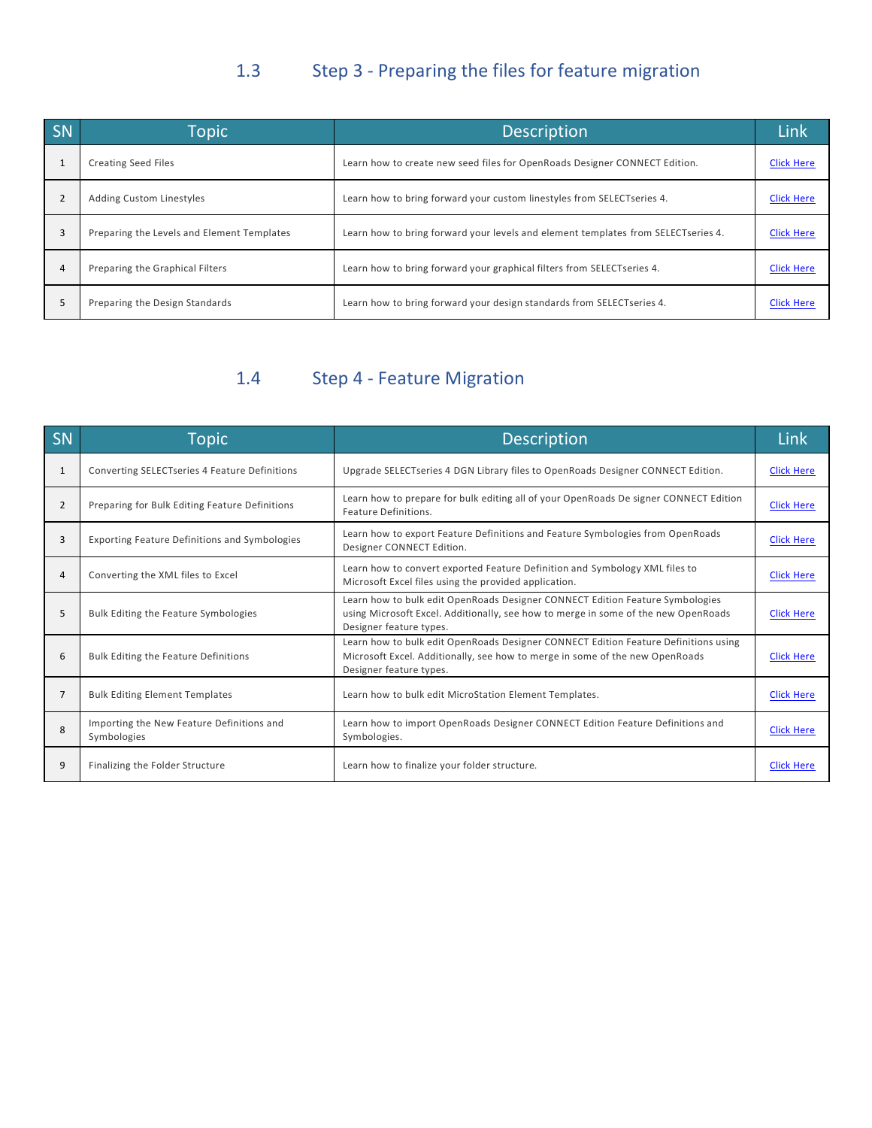## 1.3 Step 3 - Preparing the files for feature migration

| SN             | Topic                                      | <b>Description</b>                                                                | Link              |
|----------------|--------------------------------------------|-----------------------------------------------------------------------------------|-------------------|
|                | <b>Creating Seed Files</b>                 | Learn how to create new seed files for OpenRoads Designer CONNECT Edition.        | <b>Click Here</b> |
| $\overline{2}$ | <b>Adding Custom Linestyles</b>            | Learn how to bring forward your custom linestyles from SELECTseries 4.            | <b>Click Here</b> |
|                | Preparing the Levels and Element Templates | Learn how to bring forward your levels and element templates from SELECTseries 4. | <b>Click Here</b> |
| 4              | Preparing the Graphical Filters            | Learn how to bring forward your graphical filters from SELECTseries 4.            | <b>Click Here</b> |
|                | Preparing the Design Standards             | Learn how to bring forward your design standards from SELECTseries 4.             | <b>Click Here</b> |

## 1.4 Step 4 - Feature Migration

| SN             | <b>Topic</b>                                             | <b>Description</b>                                                                                                                                                                             | Link              |
|----------------|----------------------------------------------------------|------------------------------------------------------------------------------------------------------------------------------------------------------------------------------------------------|-------------------|
| 1              | <b>Converting SELECTseries 4 Feature Definitions</b>     | Upgrade SELECTseries 4 DGN Library files to OpenRoads Designer CONNECT Edition.                                                                                                                | <b>Click Here</b> |
| $\overline{2}$ | Preparing for Bulk Editing Feature Definitions           | Learn how to prepare for bulk editing all of your OpenRoads De signer CONNECT Edition<br>Feature Definitions.                                                                                  | <b>Click Here</b> |
| 3              | <b>Exporting Feature Definitions and Symbologies</b>     | Learn how to export Feature Definitions and Feature Symbologies from OpenRoads<br>Designer CONNECT Edition.                                                                                    | <b>Click Here</b> |
| 4              | Converting the XML files to Excel                        | Learn how to convert exported Feature Definition and Symbology XML files to<br>Microsoft Excel files using the provided application.                                                           | <b>Click Here</b> |
| 5.             | Bulk Editing the Feature Symbologies                     | Learn how to bulk edit OpenRoads Designer CONNECT Edition Feature Symbologies<br>using Microsoft Excel. Additionally, see how to merge in some of the new OpenRoads<br>Designer feature types. | <b>Click Here</b> |
| 6              | Bulk Editing the Feature Definitions                     | Learn how to bulk edit OpenRoads Designer CONNECT Edition Feature Definitions using<br>Microsoft Excel. Additionally, see how to merge in some of the new OpenRoads<br>Designer feature types. | <b>Click Here</b> |
| $\overline{7}$ | <b>Bulk Editing Element Templates</b>                    | Learn how to bulk edit MicroStation Element Templates.                                                                                                                                         | <b>Click Here</b> |
| 8              | Importing the New Feature Definitions and<br>Symbologies | Learn how to import OpenRoads Designer CONNECT Edition Feature Definitions and<br>Symbologies.                                                                                                 | <b>Click Here</b> |
| 9              | Finalizing the Folder Structure                          | Learn how to finalize your folder structure.                                                                                                                                                   | <b>Click Here</b> |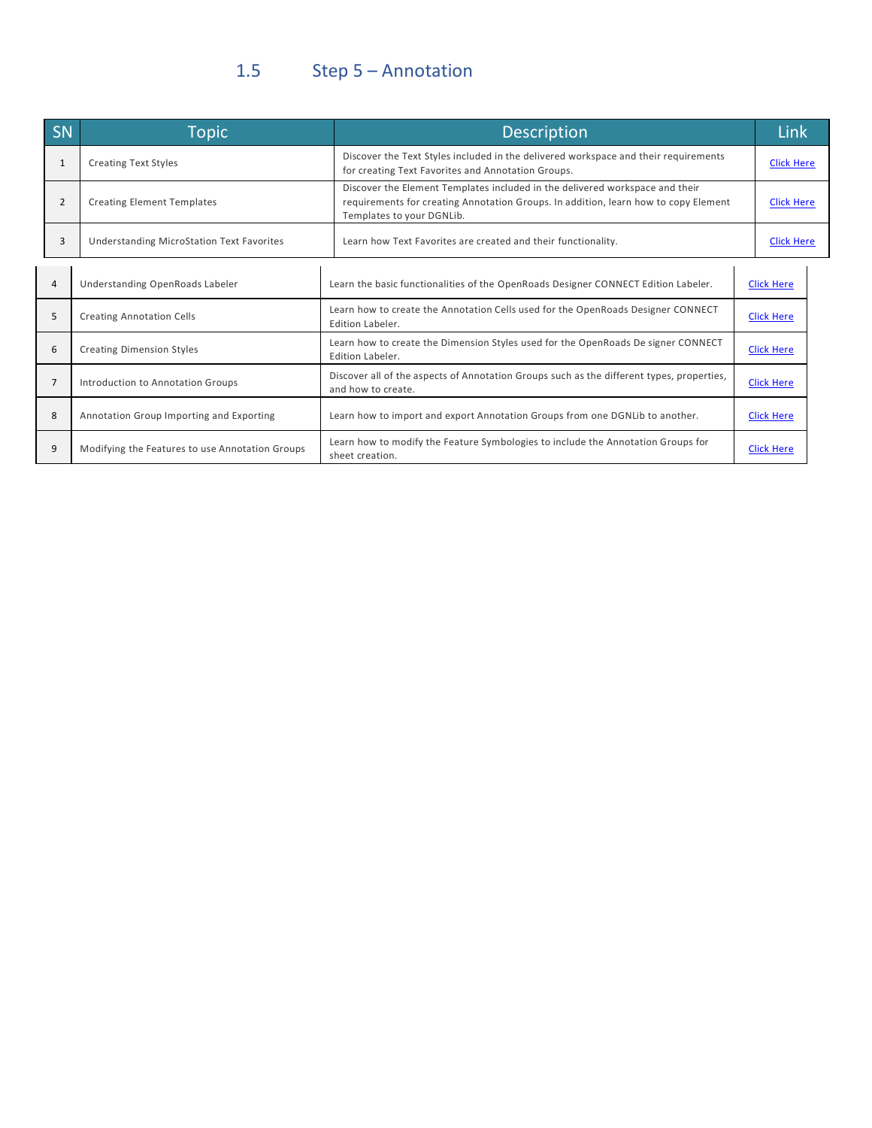# 1.5 Step 5 – Annotation

| <b>SN</b>    | <b>Topic</b>                                    | Description                                                                                                                                                                                      | Link              |  |
|--------------|-------------------------------------------------|--------------------------------------------------------------------------------------------------------------------------------------------------------------------------------------------------|-------------------|--|
| $\mathbf{1}$ | <b>Creating Text Styles</b>                     | Discover the Text Styles included in the delivered workspace and their requirements<br>for creating Text Favorites and Annotation Groups.                                                        | <b>Click Here</b> |  |
| 2            | <b>Creating Element Templates</b>               | Discover the Element Templates included in the delivered workspace and their<br>requirements for creating Annotation Groups. In addition, learn how to copy Element<br>Templates to your DGNLib. | <b>Click Here</b> |  |
| 3            | Understanding MicroStation Text Favorites       | Learn how Text Favorites are created and their functionality.                                                                                                                                    | <b>Click Here</b> |  |
| 4            | Understanding OpenRoads Labeler                 | Learn the basic functionalities of the OpenRoads Designer CONNECT Edition Labeler.                                                                                                               | <b>Click Here</b> |  |
| 5            | <b>Creating Annotation Cells</b>                | Learn how to create the Annotation Cells used for the OpenRoads Designer CONNECT<br>Edition Labeler.                                                                                             | <b>Click Here</b> |  |
| 6            | <b>Creating Dimension Styles</b>                | Learn how to create the Dimension Styles used for the OpenRoads De signer CONNECT<br>Edition Labeler.                                                                                            | <b>Click Here</b> |  |
| 7            | Introduction to Annotation Groups               | Discover all of the aspects of Annotation Groups such as the different types, properties,<br>and how to create.                                                                                  | <b>Click Here</b> |  |
| 8            | Annotation Group Importing and Exporting        | Learn how to import and export Annotation Groups from one DGNLib to another.                                                                                                                     | <b>Click Here</b> |  |
| 9            | Modifying the Features to use Annotation Groups | Learn how to modify the Feature Symbologies to include the Annotation Groups for<br>sheet creation.                                                                                              | <b>Click Here</b> |  |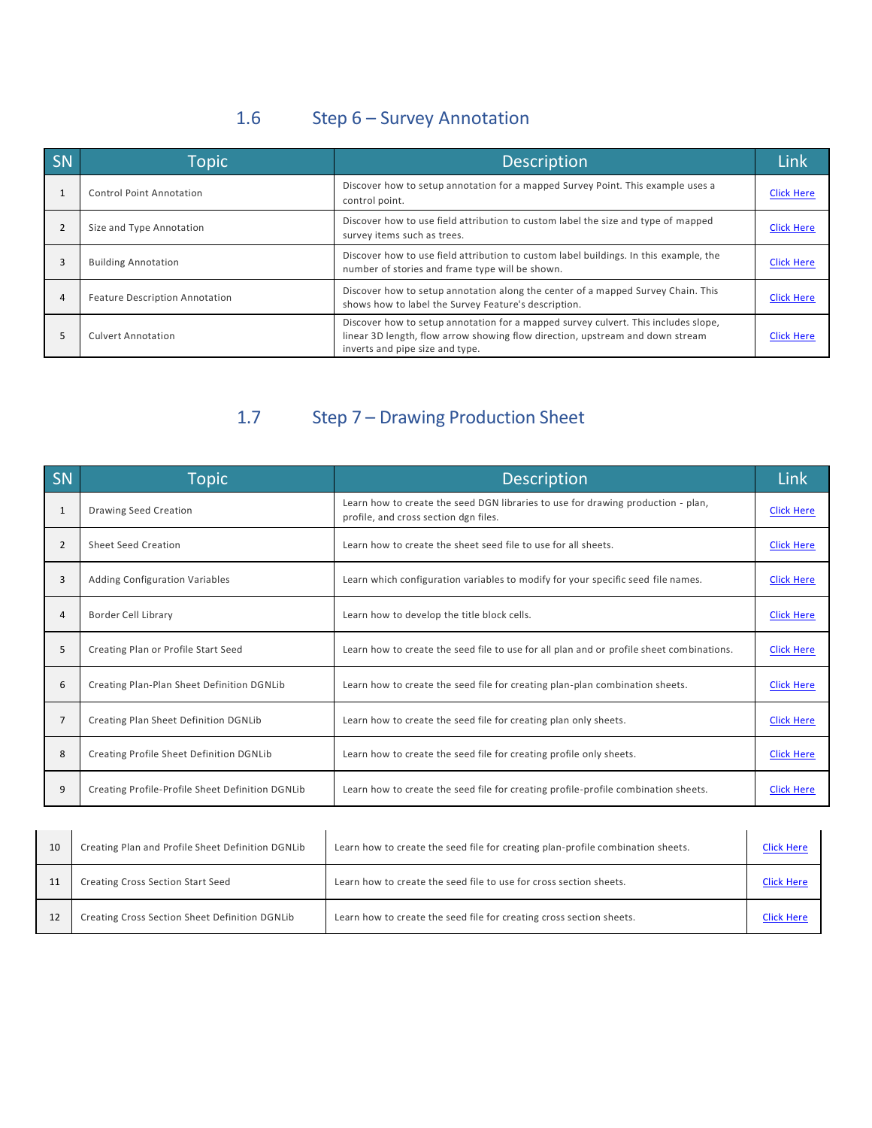## 1.6 Step 6 – Survey Annotation

| SN | Topic                                 | <b>Description</b>                                                                                                                                                                                     | Link              |
|----|---------------------------------------|--------------------------------------------------------------------------------------------------------------------------------------------------------------------------------------------------------|-------------------|
|    | Control Point Annotation              | Discover how to setup annotation for a mapped Survey Point. This example uses a<br>control point.                                                                                                      | <b>Click Here</b> |
|    | Size and Type Annotation              | Discover how to use field attribution to custom label the size and type of mapped<br>survey items such as trees.                                                                                       | <b>Click Here</b> |
|    | <b>Building Annotation</b>            | Discover how to use field attribution to custom label buildings. In this example, the<br>number of stories and frame type will be shown.                                                               | <b>Click Here</b> |
| 4  | <b>Feature Description Annotation</b> | Discover how to setup annotation along the center of a mapped Survey Chain. This<br>shows how to label the Survey Feature's description.                                                               | <b>Click Here</b> |
|    | <b>Culvert Annotation</b>             | Discover how to setup annotation for a mapped survey culvert. This includes slope,<br>linear 3D length, flow arrow showing flow direction, upstream and down stream<br>inverts and pipe size and type. | <b>Click Here</b> |

# 1.7 Step 7 – Drawing Production Sheet

| SN             | <b>Topic</b>                                     | <b>Description</b>                                                                                                        | Link              |
|----------------|--------------------------------------------------|---------------------------------------------------------------------------------------------------------------------------|-------------------|
| $\mathbf{1}$   | Drawing Seed Creation                            | Learn how to create the seed DGN libraries to use for drawing production - plan,<br>profile, and cross section dgn files. | <b>Click Here</b> |
| $\overline{2}$ | Sheet Seed Creation                              | Learn how to create the sheet seed file to use for all sheets.                                                            | <b>Click Here</b> |
| 3              | <b>Adding Configuration Variables</b>            | Learn which configuration variables to modify for your specific seed file names.                                          | <b>Click Here</b> |
| $\overline{4}$ | Border Cell Library                              | Learn how to develop the title block cells.                                                                               | <b>Click Here</b> |
| 5              | Creating Plan or Profile Start Seed              | Learn how to create the seed file to use for all plan and or profile sheet combinations.                                  | <b>Click Here</b> |
| 6              | Creating Plan-Plan Sheet Definition DGNLib       | Learn how to create the seed file for creating plan-plan combination sheets.                                              | <b>Click Here</b> |
| $\overline{7}$ | Creating Plan Sheet Definition DGNLib            | Learn how to create the seed file for creating plan only sheets.                                                          | <b>Click Here</b> |
| 8              | Creating Profile Sheet Definition DGNLib         | Learn how to create the seed file for creating profile only sheets.                                                       | <b>Click Here</b> |
| 9              | Creating Profile-Profile Sheet Definition DGNLib | Learn how to create the seed file for creating profile-profile combination sheets.                                        | <b>Click Here</b> |

| 10 | Creating Plan and Profile Sheet Definition DGNLib | Learn how to create the seed file for creating plan-profile combination sheets. | <b>Click Here</b> |
|----|---------------------------------------------------|---------------------------------------------------------------------------------|-------------------|
| 11 | Creating Cross Section Start Seed                 | Learn how to create the seed file to use for cross section sheets.              | <b>Click Here</b> |
| 12 | Creating Cross Section Sheet Definition DGNLib    | Learn how to create the seed file for creating cross section sheets.            | <b>Click Here</b> |